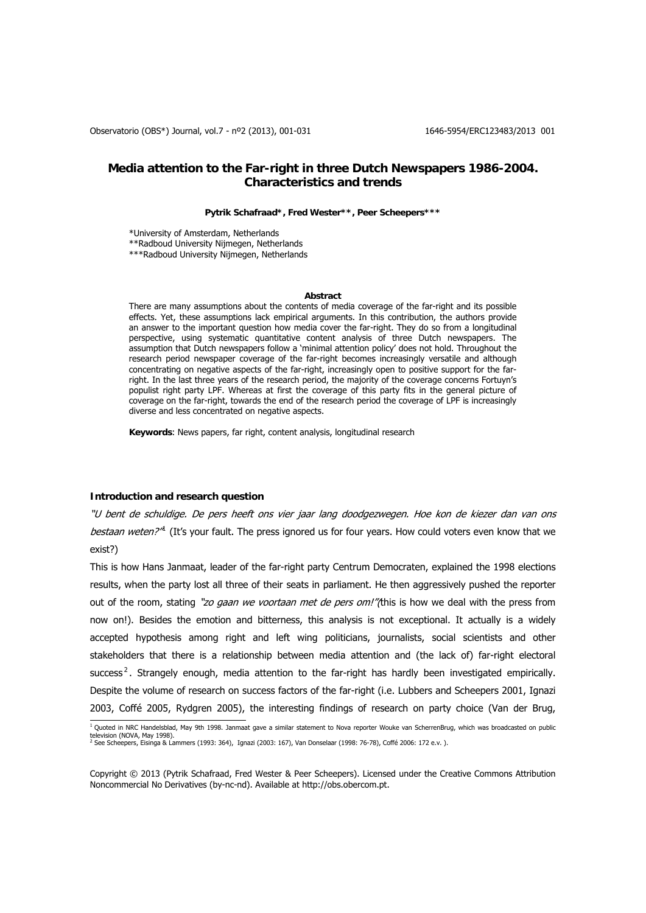# **Media attention to the Far-right in three Dutch Newspapers 1986-2004. Characteristics and trends**

#### **Pytrik Schafraad\*, Fred Wester\*\*, Peer Scheepers\*\*\***

\*University of Amsterdam, Netherlands

\*\*Radboud University Nijmegen, Netherlands

\*\*\*Radboud University Nijmegen, Netherlands

#### **Abstract**

There are many assumptions about the contents of media coverage of the far-right and its possible effects. Yet, these assumptions lack empirical arguments. In this contribution, the authors provide an answer to the important question how media cover the far-right. They do so from a longitudinal perspective, using systematic quantitative content analysis of three Dutch newspapers. The assumption that Dutch newspapers follow a 'minimal attention policy' does not hold. Throughout the research period newspaper coverage of the far-right becomes increasingly versatile and although concentrating on negative aspects of the far-right, increasingly open to positive support for the farright. In the last three years of the research period, the majority of the coverage concerns Fortuyn's populist right party LPF. Whereas at first the coverage of this party fits in the general picture of coverage on the far-right, towards the end of the research period the coverage of LPF is increasingly diverse and less concentrated on negative aspects.

**Keywords**: News papers, far right, content analysis, longitudinal research

# **Introduction and research question**

"U bent de schuldige. De pers heeft ons vier jaar lang doodgezwegen. Hoe kon de kiezer dan van ons bestaan weten?<sup>"</sup> (It's your fault. The press ignored us for four years. How could voters even know that we exist?)

This is how Hans Janmaat, leader of the far-right party Centrum Democraten, explained the 1998 elections results, when the party lost all three of their seats in parliament. He then aggressively pushed the reporter out of the room, stating "zo *gaan we voortaan met de pers om!"(*this is how we deal with the press from now on!). Besides the emotion and bitterness, this analysis is not exceptional. It actually is a widely accepted hypothesis among right and left wing politicians, journalists, social scientists and other stakeholders that there is a relationship between media attention and (the lack of) far-right electoral success<sup>[2](#page-0-1)</sup>. Strangely enough, media attention to the far-right has hardly been investigated empirically. Despite the volume of research on success factors of the far-right (i.e. Lubbers and Scheepers 2001, Ignazi 2003, Coffé 2005, Rydgren 2005), the interesting findings of research on party choice (Van der Brug,

<span id="page-0-1"></span><span id="page-0-0"></span> 1 Quoted in NRC Handelsblad, May 9th 1998. Janmaat gave a similar statement to Nova reporter Wouke van ScherrenBrug, which was broadcasted on public television (NOVA, May 1998). <sup>2</sup> See Scheepers, Eisinga & Lammers (1993: 364), Ignazi (2003: 167), Van Donselaar (1998: 76-78), Coffé 2006: 172 e.v. ).

Copyright © 2013 (Pytrik Schafraad, Fred Wester & Peer Scheepers). Licensed under the Creative Commons Attribution Noncommercial No Derivatives (by-nc-nd). Available at http://obs.obercom.pt.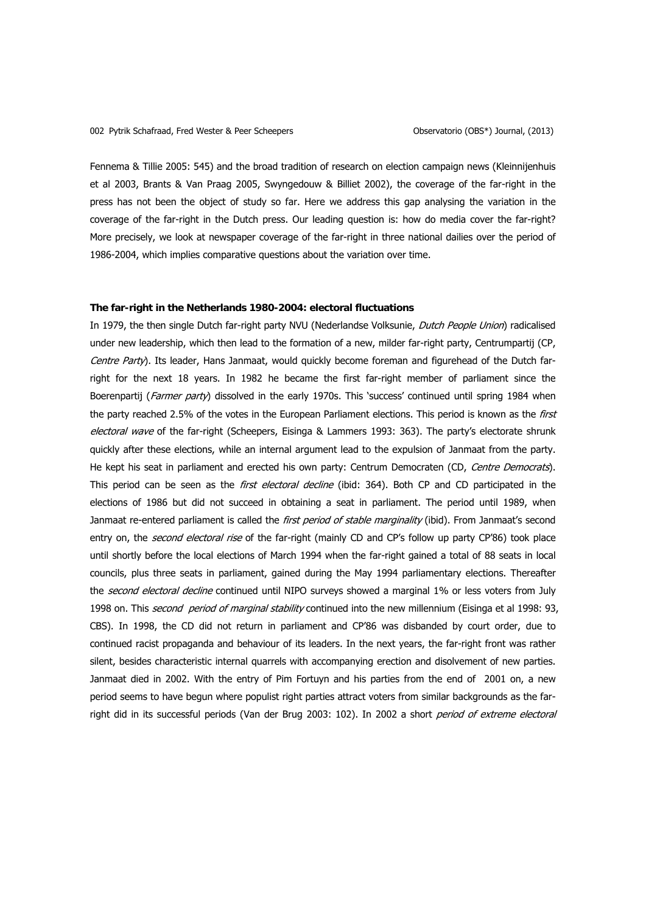Fennema & Tillie 2005: 545) and the broad tradition of research on election campaign news (Kleinnijenhuis et al 2003, Brants & Van Praag 2005, Swyngedouw & Billiet 2002), the coverage of the far-right in the press has not been the object of study so far. Here we address this gap analysing the variation in the coverage of the far-right in the Dutch press. Our leading question is: how do media cover the far-right? More precisely, we look at newspaper coverage of the far-right in three national dailies over the period of 1986-2004, which implies comparative questions about the variation over time.

## **The far-right in the Netherlands 1980-2004: electoral fluctuations**

In 1979, the then single Dutch far-right party NVU (Nederlandse Volksunie, Dutch People Union) radicalised under new leadership, which then lead to the formation of a new, milder far-right party, Centrumpartij (CP, Centre Party). Its leader, Hans Janmaat, would quickly become foreman and figurehead of the Dutch farright for the next 18 years. In 1982 he became the first far-right member of parliament since the Boerenpartij (Farmer party) dissolved in the early 1970s. This 'success' continued until spring 1984 when the party reached 2.5% of the votes in the European Parliament elections. This period is known as the first electoral wave of the far-right (Scheepers, Eisinga & Lammers 1993: 363). The party's electorate shrunk quickly after these elections, while an internal argument lead to the expulsion of Janmaat from the party. He kept his seat in parliament and erected his own party: Centrum Democraten (CD, Centre Democrats). This period can be seen as the *first electoral decline* (ibid: 364). Both CP and CD participated in the elections of 1986 but did not succeed in obtaining a seat in parliament. The period until 1989, when Janmaat re-entered parliament is called the first period of stable marginality (ibid). From Janmaat's second entry on, the *second electoral rise* of the far-right (mainly CD and CP's follow up party CP'86) took place until shortly before the local elections of March 1994 when the far-right gained a total of 88 seats in local councils, plus three seats in parliament, gained during the May 1994 parliamentary elections. Thereafter the second electoral decline continued until NIPO surveys showed a marginal 1% or less voters from July 1998 on. This *second period of marginal stability* continued into the new millennium (Eisinga et al 1998: 93, CBS). In 1998, the CD did not return in parliament and CP'86 was disbanded by court order, due to continued racist propaganda and behaviour of its leaders. In the next years, the far-right front was rather silent, besides characteristic internal quarrels with accompanying erection and disolvement of new parties. Janmaat died in 2002. With the entry of Pim Fortuyn and his parties from the end of 2001 on, a new period seems to have begun where populist right parties attract voters from similar backgrounds as the farright did in its successful periods (Van der Brug 2003: 102). In 2002 a short period of extreme electoral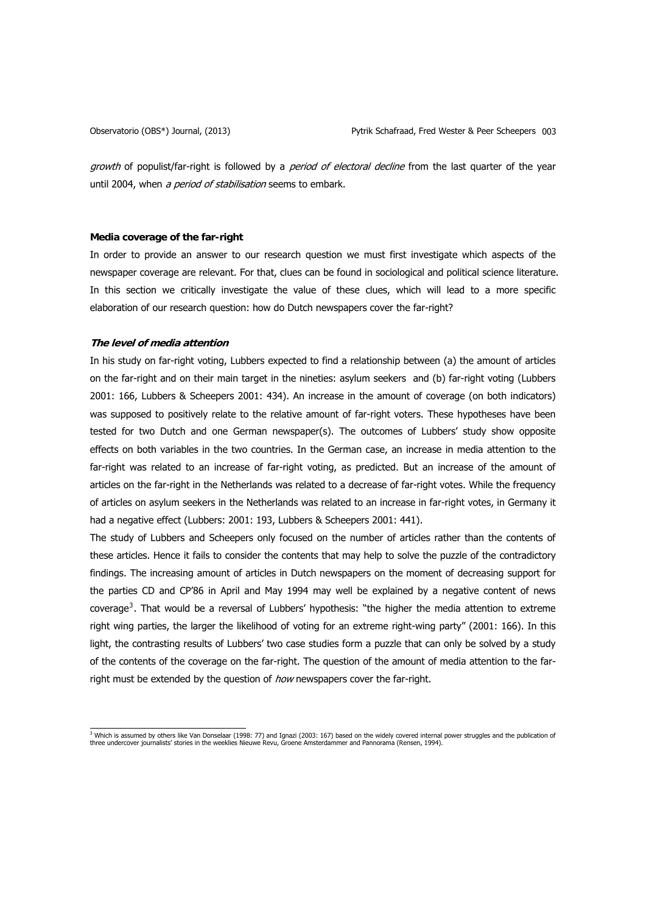<span id="page-2-0"></span>

growth of populist/far-right is followed by a *period of electoral decline* from the last quarter of the year until 2004, when a period of stabilisation seems to embark.

# **Media coverage of the far-right**

In order to provide an answer to our research question we must first investigate which aspects of the newspaper coverage are relevant. For that, clues can be found in sociological and political science literature. In this section we critically investigate the value of these clues, which will lead to a more specific elaboration of our research question: how do Dutch newspapers cover the far-right?

# **The level of media attention**

In his study on far-right voting, Lubbers expected to find a relationship between (a) the amount of articles on the far-right and on their main target in the nineties: asylum seekers and (b) far-right voting (Lubbers 2001: 166, Lubbers & Scheepers 2001: 434). An increase in the amount of coverage (on both indicators) was supposed to positively relate to the relative amount of far-right voters. These hypotheses have been tested for two Dutch and one German newspaper(s). The outcomes of Lubbers' study show opposite effects on both variables in the two countries. In the German case, an increase in media attention to the far-right was related to an increase of far-right voting, as predicted. But an increase of the amount of articles on the far-right in the Netherlands was related to a decrease of far-right votes. While the frequency of articles on asylum seekers in the Netherlands was related to an increase in far-right votes, in Germany it had a negative effect (Lubbers: 2001: 193, Lubbers & Scheepers 2001: 441).

The study of Lubbers and Scheepers only focused on the number of articles rather than the contents of these articles. Hence it fails to consider the contents that may help to solve the puzzle of the contradictory findings. The increasing amount of articles in Dutch newspapers on the moment of decreasing support for the parties CD and CP'86 in April and May 1994 may well be explained by a negative content of news coverage<sup>[3](#page-2-0)</sup>. That would be a reversal of Lubbers' hypothesis: "the higher the media attention to extreme right wing parties, the larger the likelihood of voting for an extreme right-wing party" (2001: 166). In this light, the contrasting results of Lubbers' two case studies form a puzzle that can only be solved by a study of the contents of the coverage on the far-right. The question of the amount of media attention to the farright must be extended by the question of how newspapers cover the far-right.

<sup>&</sup>lt;sup>3</sup> Which is assumed by others like Van Donselaar (1998: 77) and Ignazi (2003: 167) based on the widely covered internal power struggles and the publication of<br>three undercover journalists' stories in the weeklies Nieuwe R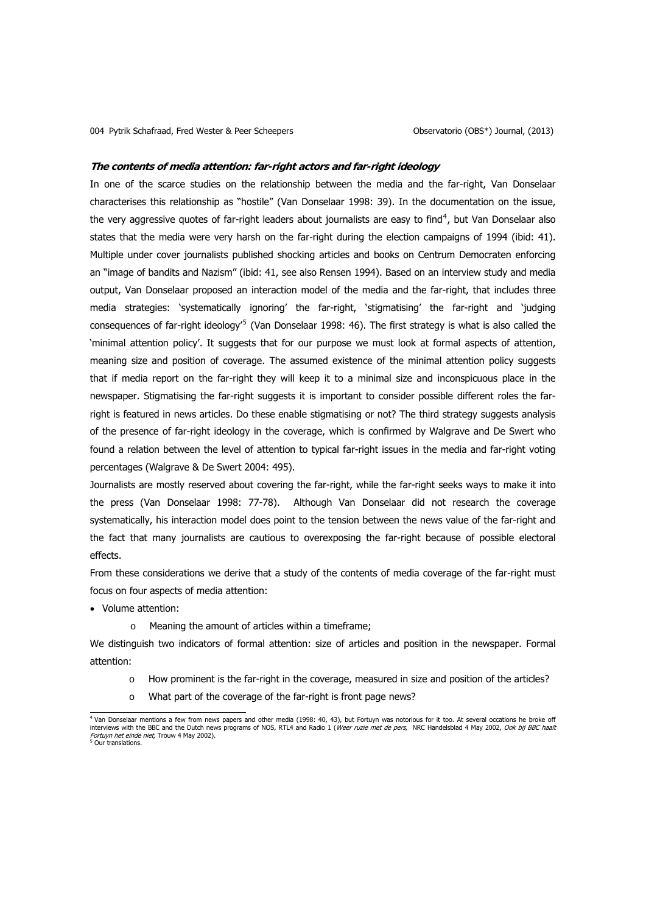#### <span id="page-3-0"></span>**The contents of media attention: far-right actors and far-right ideology**

In one of the scarce studies on the relationship between the media and the far-right, Van Donselaar characterises this relationship as "hostile" (Van Donselaar 1998: 39). In the documentation on the issue, the very aggressive quotes of far-right leaders about journalists are easy to find<sup>[4](#page-3-0)</sup>, but Van Donselaar also states that the media were very harsh on the far-right during the election campaigns of 1994 (ibid: 41). Multiple under cover journalists published shocking articles and books on Centrum Democraten enforcing an "image of bandits and Nazism" (ibid: 41, see also Rensen 1994). Based on an interview study and media output, Van Donselaar proposed an interaction model of the media and the far-right, that includes three media strategies: 'systematically ignoring' the far-right, 'stigmatising' the far-right and 'judging consequences of far-right ideology<sup>'[5](#page-3-0)</sup> (Van Donselaar 1998: 46). The first strategy is what is also called the 'minimal attention policy'. It suggests that for our purpose we must look at formal aspects of attention, meaning size and position of coverage. The assumed existence of the minimal attention policy suggests that if media report on the far-right they will keep it to a minimal size and inconspicuous place in the newspaper. Stigmatising the far-right suggests it is important to consider possible different roles the farright is featured in news articles. Do these enable stigmatising or not? The third strategy suggests analysis of the presence of far-right ideology in the coverage, which is confirmed by Walgrave and De Swert who found a relation between the level of attention to typical far-right issues in the media and far-right voting percentages (Walgrave & De Swert 2004: 495).

Journalists are mostly reserved about covering the far-right, while the far-right seeks ways to make it into the press (Van Donselaar 1998: 77-78). Although Van Donselaar did not research the coverage systematically, his interaction model does point to the tension between the news value of the far-right and the fact that many journalists are cautious to overexposing the far-right because of possible electoral effects.

From these considerations we derive that a study of the contents of media coverage of the far-right must focus on four aspects of media attention:

• Volume attention:

o Meaning the amount of articles within a timeframe;

We distinguish two indicators of formal attention: size of articles and position in the newspaper. Formal attention:

- o How prominent is the far-right in the coverage, measured in size and position of the articles?
- o What part of the coverage of the far-right is front page news?

 4 Van Donselaar mentions a few from news papers and other media (1998: 40, 43), but Fortuyn was notorious for it too. At several occations he broke off interviews with the BBC and the Dutch news programs of NOS, RTL4 and Radio 1 (Weer ruzie met de pers, NRC Handelsblad 4 May 2002, Ook bij BBC haalt Fortuyn het einde niet. Trouw 4 May 2002). *b* Our translations.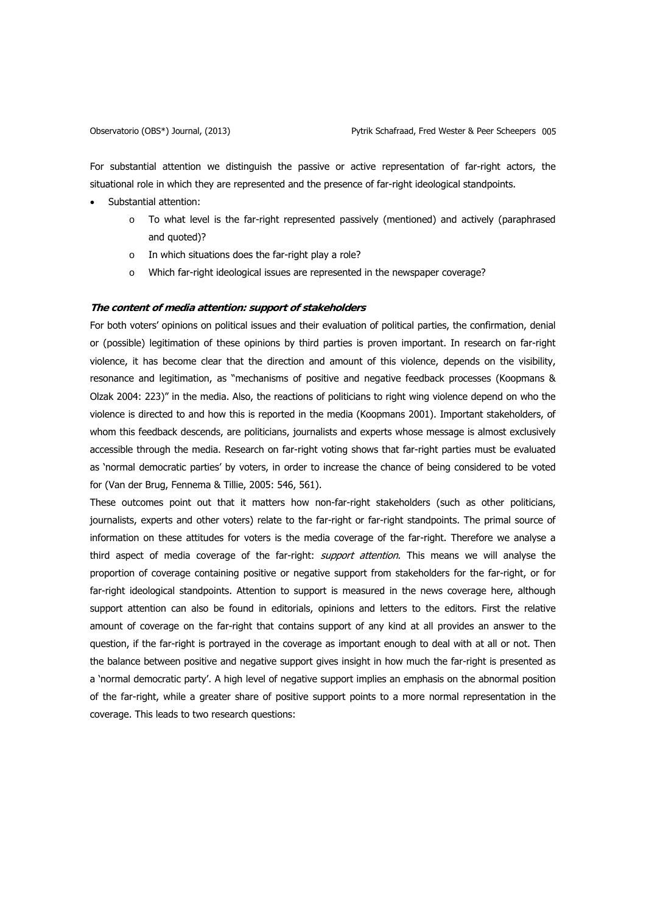For substantial attention we distinguish the passive or active representation of far-right actors, the situational role in which they are represented and the presence of far-right ideological standpoints.

- Substantial attention:
	- o To what level is the far-right represented passively (mentioned) and actively (paraphrased and quoted)?
	- o In which situations does the far-right play a role?
	- o Which far-right ideological issues are represented in the newspaper coverage?

# **The content of media attention: support of stakeholders**

For both voters' opinions on political issues and their evaluation of political parties, the confirmation, denial or (possible) legitimation of these opinions by third parties is proven important. In research on far-right violence, it has become clear that the direction and amount of this violence, depends on the visibility, resonance and legitimation, as "mechanisms of positive and negative feedback processes (Koopmans & Olzak 2004: 223)" in the media. Also, the reactions of politicians to right wing violence depend on who the violence is directed to and how this is reported in the media (Koopmans 2001). Important stakeholders, of whom this feedback descends, are politicians, journalists and experts whose message is almost exclusively accessible through the media. Research on far-right voting shows that far-right parties must be evaluated as 'normal democratic parties' by voters, in order to increase the chance of being considered to be voted for (Van der Brug, Fennema & Tillie, 2005: 546, 561).

These outcomes point out that it matters how non-far-right stakeholders (such as other politicians, journalists, experts and other voters) relate to the far-right or far-right standpoints. The primal source of information on these attitudes for voters is the media coverage of the far-right. Therefore we analyse a third aspect of media coverage of the far-right: *support attention*. This means we will analyse the proportion of coverage containing positive or negative support from stakeholders for the far-right, or for far-right ideological standpoints. Attention to support is measured in the news coverage here, although support attention can also be found in editorials, opinions and letters to the editors. First the relative amount of coverage on the far-right that contains support of any kind at all provides an answer to the question, if the far-right is portrayed in the coverage as important enough to deal with at all or not. Then the balance between positive and negative support gives insight in how much the far-right is presented as a 'normal democratic party'. A high level of negative support implies an emphasis on the abnormal position of the far-right, while a greater share of positive support points to a more normal representation in the coverage. This leads to two research questions: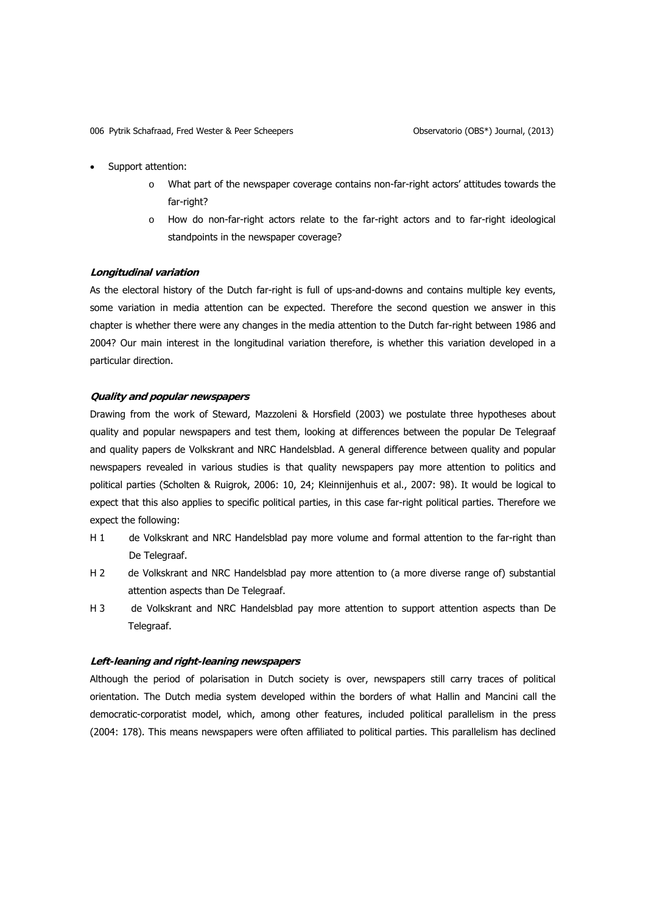- Support attention:
	- o What part of the newspaper coverage contains non-far-right actors' attitudes towards the far-right?
	- o How do non-far-right actors relate to the far-right actors and to far-right ideological standpoints in the newspaper coverage?

# **Longitudinal variation**

As the electoral history of the Dutch far-right is full of ups-and-downs and contains multiple key events, some variation in media attention can be expected. Therefore the second question we answer in this chapter is whether there were any changes in the media attention to the Dutch far-right between 1986 and 2004? Our main interest in the longitudinal variation therefore, is whether this variation developed in a particular direction.

# **Quality and popular newspapers**

Drawing from the work of Steward, Mazzoleni & Horsfield (2003) we postulate three hypotheses about quality and popular newspapers and test them, looking at differences between the popular De Telegraaf and quality papers de Volkskrant and NRC Handelsblad. A general difference between quality and popular newspapers revealed in various studies is that quality newspapers pay more attention to politics and political parties (Scholten & Ruigrok, 2006: 10, 24; Kleinnijenhuis et al., 2007: 98). It would be logical to expect that this also applies to specific political parties, in this case far-right political parties. Therefore we expect the following:

- H 1 de Volkskrant and NRC Handelsblad pay more volume and formal attention to the far-right than De Telegraaf.
- H 2 de Volkskrant and NRC Handelsblad pay more attention to (a more diverse range of) substantial attention aspects than De Telegraaf.
- H 3 de Volkskrant and NRC Handelsblad pay more attention to support attention aspects than De Telegraaf.

# **Left-leaning and right-leaning newspapers**

Although the period of polarisation in Dutch society is over, newspapers still carry traces of political orientation. The Dutch media system developed within the borders of what Hallin and Mancini call the democratic-corporatist model, which, among other features, included political parallelism in the press (2004: 178). This means newspapers were often affiliated to political parties. This parallelism has declined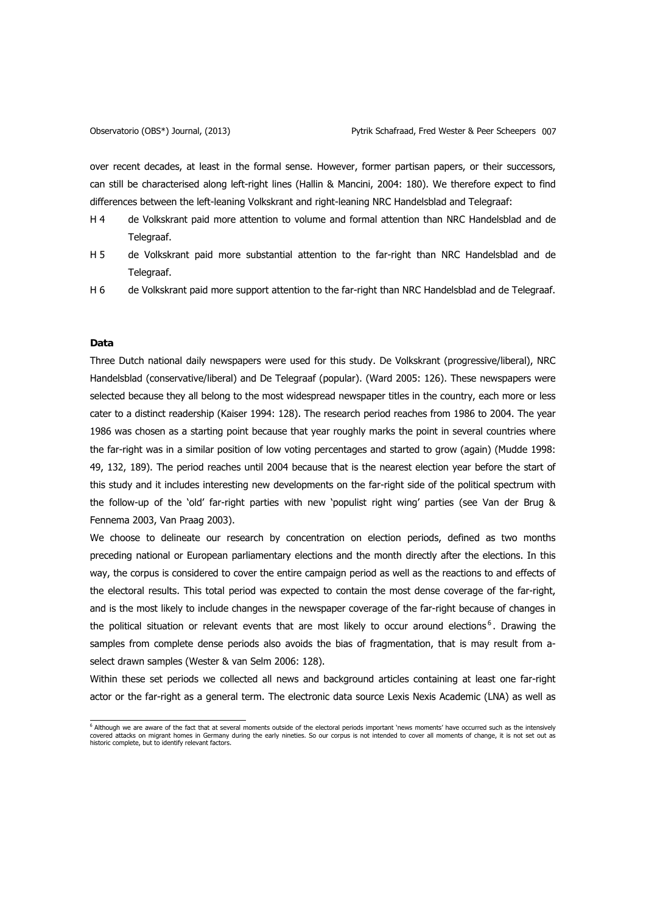<span id="page-6-0"></span>

over recent decades, at least in the formal sense. However, former partisan papers, or their successors, can still be characterised along left-right lines (Hallin & Mancini, 2004: 180). We therefore expect to find differences between the left-leaning Volkskrant and right-leaning NRC Handelsblad and Telegraaf:

- H 4 de Volkskrant paid more attention to volume and formal attention than NRC Handelsblad and de Telegraaf.
- H 5 de Volkskrant paid more substantial attention to the far-right than NRC Handelsblad and de Telegraaf.
- H 6 de Volkskrant paid more support attention to the far-right than NRC Handelsblad and de Telegraaf.

# **Data**

Three Dutch national daily newspapers were used for this study. De Volkskrant (progressive/liberal), NRC Handelsblad (conservative/liberal) and De Telegraaf (popular). (Ward 2005: 126). These newspapers were selected because they all belong to the most widespread newspaper titles in the country, each more or less cater to a distinct readership (Kaiser 1994: 128). The research period reaches from 1986 to 2004. The year 1986 was chosen as a starting point because that year roughly marks the point in several countries where the far-right was in a similar position of low voting percentages and started to grow (again) (Mudde 1998: 49, 132, 189). The period reaches until 2004 because that is the nearest election year before the start of this study and it includes interesting new developments on the far-right side of the political spectrum with the follow-up of the 'old' far-right parties with new 'populist right wing' parties (see Van der Brug & Fennema 2003, Van Praag 2003).

We choose to delineate our research by concentration on election periods, defined as two months preceding national or European parliamentary elections and the month directly after the elections. In this way, the corpus is considered to cover the entire campaign period as well as the reactions to and effects of the electoral results. This total period was expected to contain the most dense coverage of the far-right, and is the most likely to include changes in the newspaper coverage of the far-right because of changes in the political situation or relevant events that are most likely to occur around elections<sup>[6](#page-6-0)</sup>. Drawing the samples from complete dense periods also avoids the bias of fragmentation, that is may result from aselect drawn samples (Wester & van Selm 2006: 128).

Within these set periods we collected all news and background articles containing at least one far-right actor or the far-right as a general term. The electronic data source Lexis Nexis Academic (LNA) as well as

 6 Although we are aware of the fact that at several moments outside of the electoral periods important 'news moments' have occurred such as the intensively covered attacks on migrant homes in Germany during the early nineties. So our corpus is not intended to cover all moments of change, it is not set out as historic complete, but to identify relevant factors.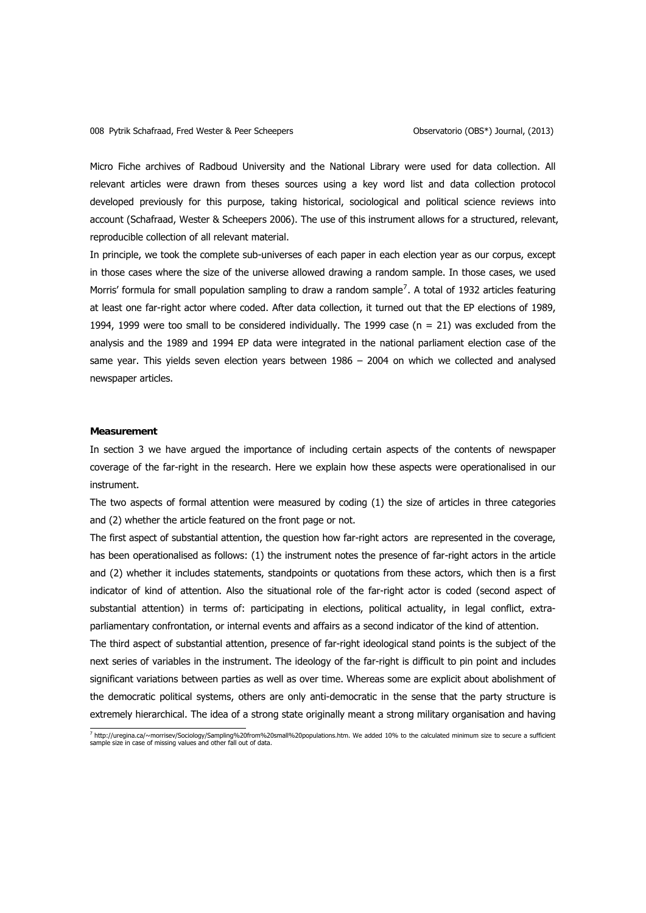<span id="page-7-0"></span>Micro Fiche archives of Radboud University and the National Library were used for data collection. All relevant articles were drawn from theses sources using a key word list and data collection protocol developed previously for this purpose, taking historical, sociological and political science reviews into account (Schafraad, Wester & Scheepers 2006). The use of this instrument allows for a structured, relevant, reproducible collection of all relevant material.

In principle, we took the complete sub-universes of each paper in each election year as our corpus, except in those cases where the size of the universe allowed drawing a random sample. In those cases, we used Morris' formula for small population sampling to draw a random sample<sup>[7](#page-7-0)</sup>. A total of 1932 articles featuring at least one far-right actor where coded. After data collection, it turned out that the EP elections of 1989, 1994, 1999 were too small to be considered individually. The 1999 case ( $n = 21$ ) was excluded from the analysis and the 1989 and 1994 EP data were integrated in the national parliament election case of the same year. This yields seven election years between 1986 – 2004 on which we collected and analysed newspaper articles.

### **Measurement**

In section 3 we have argued the importance of including certain aspects of the contents of newspaper coverage of the far-right in the research. Here we explain how these aspects were operationalised in our instrument.

The two aspects of formal attention were measured by coding (1) the size of articles in three categories and (2) whether the article featured on the front page or not.

The first aspect of substantial attention, the question how far-right actors are represented in the coverage, has been operationalised as follows: (1) the instrument notes the presence of far-right actors in the article and (2) whether it includes statements, standpoints or quotations from these actors, which then is a first indicator of kind of attention. Also the situational role of the far-right actor is coded (second aspect of substantial attention) in terms of: participating in elections, political actuality, in legal conflict, extraparliamentary confrontation, or internal events and affairs as a second indicator of the kind of attention. The third aspect of substantial attention, presence of far-right ideological stand points is the subject of the next series of variables in the instrument. The ideology of the far-right is difficult to pin point and includes significant variations between parties as well as over time. Whereas some are explicit about abolishment of the democratic political systems, others are only anti-democratic in the sense that the party structure is extremely hierarchical. The idea of a strong state originally meant a strong military organisation and having

 7 http://uregina.ca/~morrisev/Sociology/Sampling%20from%20small%20populations.htm. We added 10% to the calculated minimum size to secure a sufficient sample size in case of missing values and other fall out of data.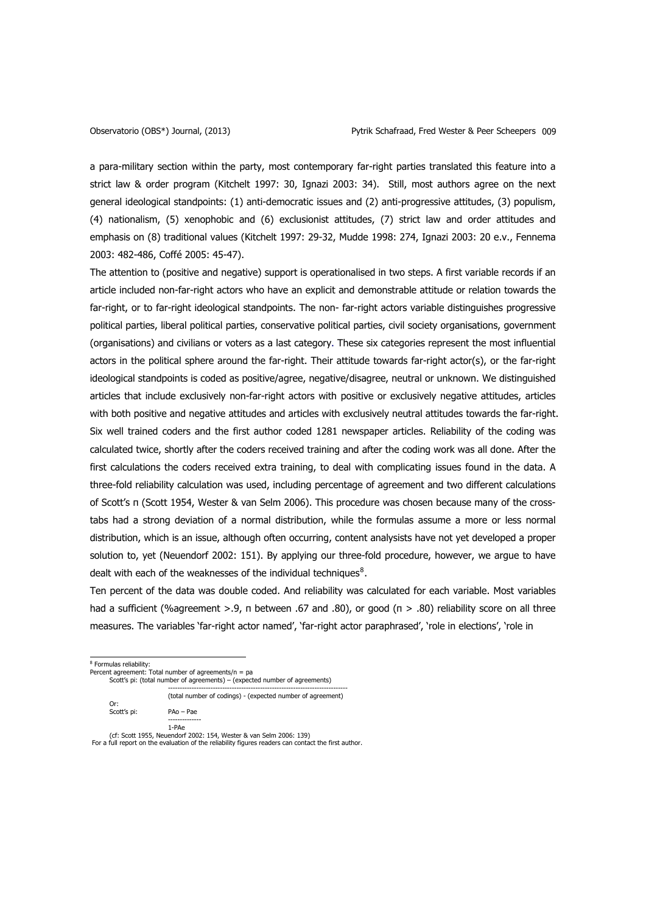<span id="page-8-0"></span>a para-military section within the party, most contemporary far-right parties translated this feature into a strict law & order program (Kitchelt 1997: 30, Ignazi 2003: 34). Still, most authors agree on the next general ideological standpoints: (1) anti-democratic issues and (2) anti-progressive attitudes, (3) populism, (4) nationalism, (5) xenophobic and (6) exclusionist attitudes, (7) strict law and order attitudes and emphasis on (8) traditional values (Kitchelt 1997: 29-32, Mudde 1998: 274, Ignazi 2003: 20 e.v., Fennema 2003: 482-486, Coffé 2005: 45-47).

The attention to (positive and negative) support is operationalised in two steps. A first variable records if an article included non-far-right actors who have an explicit and demonstrable attitude or relation towards the far-right, or to far-right ideological standpoints. The non- far-right actors variable distinguishes progressive political parties, liberal political parties, conservative political parties, civil society organisations, government (organisations) and civilians or voters as a last category. These six categories represent the most influential actors in the political sphere around the far-right. Their attitude towards far-right actor(s), or the far-right ideological standpoints is coded as positive/agree, negative/disagree, neutral or unknown. We distinguished articles that include exclusively non-far-right actors with positive or exclusively negative attitudes, articles with both positive and negative attitudes and articles with exclusively neutral attitudes towards the far-right. Six well trained coders and the first author coded 1281 newspaper articles. Reliability of the coding was calculated twice, shortly after the coders received training and after the coding work was all done. After the first calculations the coders received extra training, to deal with complicating issues found in the data. A three-fold reliability calculation was used, including percentage of agreement and two different calculations of Scott's π (Scott 1954, Wester & van Selm 2006). This procedure was chosen because many of the crosstabs had a strong deviation of a normal distribution, while the formulas assume a more or less normal distribution, which is an issue, although often occurring, content analysists have not yet developed a proper solution to, yet (Neuendorf 2002: 151). By applying our three-fold procedure, however, we argue to have dealt with each of the weaknesses of the individual techniques $8$ .

Ten percent of the data was double coded. And reliability was calculated for each variable. Most variables had a sufficient (%agreement >.9, π between .67 and .80), or good (π > .80) reliability score on all three measures. The variables 'far-right actor named', 'far-right actor paraphrased', 'role in elections', 'role in

<sup>8</sup> Formulas reliability:

Percent agreement: Total number of agreements/n = pa

Scott's pi: (total number of agreements) – (expected number of agreements) ----------------------------------------------------------------------------

(total number of codings) - (expected number of agreement)

Or: Scott's pi: PAo – Pae --------------

1-PAe (cf: Scott 1955, Neuendorf 2002: 154, Wester & van Selm 2006: 139)

For a full report on the evaluation of the reliability figures readers can contact the first author.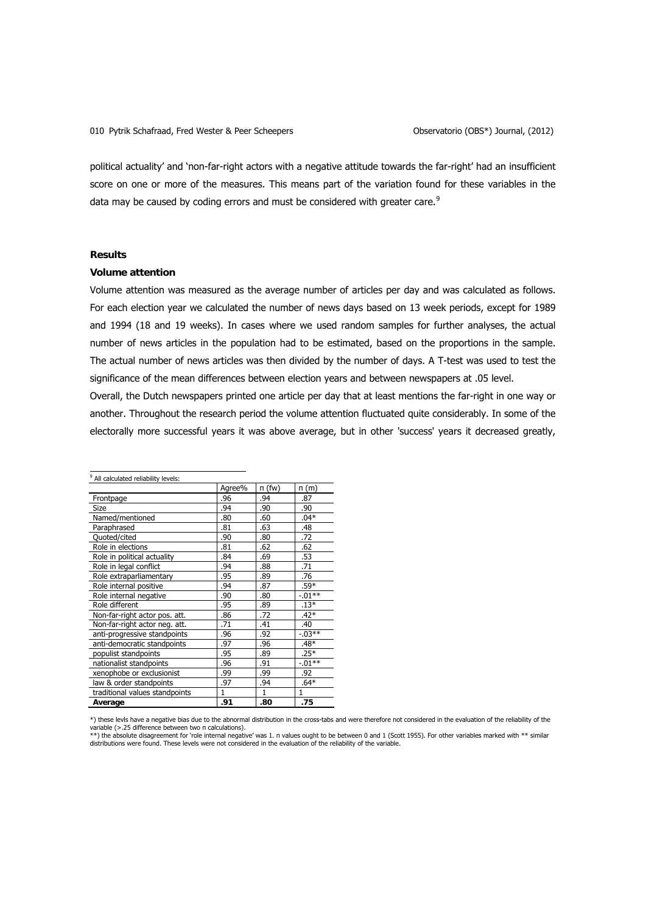<span id="page-9-0"></span>political actuality' and 'non-far-right actors with a negative attitude towards the far-right' had an insufficient score on one or more of the measures. This means part of the variation found for these variables in the data may be caused by coding errors and must be considered with greater care.<sup>[9](#page-9-0)</sup>

# **Results**

#### **Volume attention**

Volume attention was measured as the average number of articles per day and was calculated as follows. For each election year we calculated the number of news days based on 13 week periods, except for 1989 and 1994 (18 and 19 weeks). In cases where we used random samples for further analyses, the actual number of news articles in the population had to be estimated, based on the proportions in the sample. The actual number of news articles was then divided by the number of days. A T-test was used to test the significance of the mean differences between election years and between newspapers at .05 level.

Overall, the Dutch newspapers printed one article per day that at least mentions the far-right in one way or another. Throughout the research period the volume attention fluctuated quite considerably. In some of the electorally more successful years it was above average, but in other 'success' years it decreased greatly,

| <sup>9</sup> All calculated reliability levels: |        |              |              |
|-------------------------------------------------|--------|--------------|--------------|
|                                                 | Agree% | п (fw)       | n(m)         |
| Frontpage                                       | .96    | .94          | .87          |
| <b>Size</b>                                     | .94    | .90          | .90          |
| Named/mentioned                                 | .80    | .60          | $.04*$       |
| Paraphrased                                     | .81    | .63          | .48          |
| Quoted/cited                                    | .90    | .80          | .72          |
| Role in elections                               | .81    | .62          | .62          |
| Role in political actuality                     | .84    | .69          | .53          |
| Role in legal conflict                          | .94    | .88          | .71          |
| Role extraparliamentary                         | .95    | .89          | .76          |
| Role internal positive                          | .94    | .87          | $.59*$       |
| Role internal negative                          | .90    | .80          | $-0.01**$    |
| Role different                                  | .95    | .89          | $.13*$       |
| Non-far-right actor pos. att.                   | .86    | .72          | $.42*$       |
| Non-far-right actor neg. att.                   | .71    | .41          | .40          |
| anti-progressive standpoints                    | .96    | .92          | $-03**$      |
| anti-democratic standpoints                     | .97    | .96          | $.48*$       |
| populist standpoints                            | .95    | .89          | $.25*$       |
| nationalist standpoints                         | .96    | .91          | $-01**$      |
| xenophobe or exclusionist                       | .99    | .99          | .92          |
| law & order standpoints                         | .97    | .94          | $.64*$       |
| traditional values standpoints                  | 1      | $\mathbf{1}$ | $\mathbf{1}$ |
| Average                                         | .91    | .80          | .75          |

\*) these levls have a negative bias due to the abnormal distribution in the cross-tabs and were therefore not considered in the evaluation of the reliability of the variable (>.25 difference between two π calculations).

\*\*) the absolute disagreement for 'role internal negative' was 1. n values ought to be between 0 and 1 (Scott 1955). For other variables marked with \*\* similar<br>distributions were found. These levels were not considered in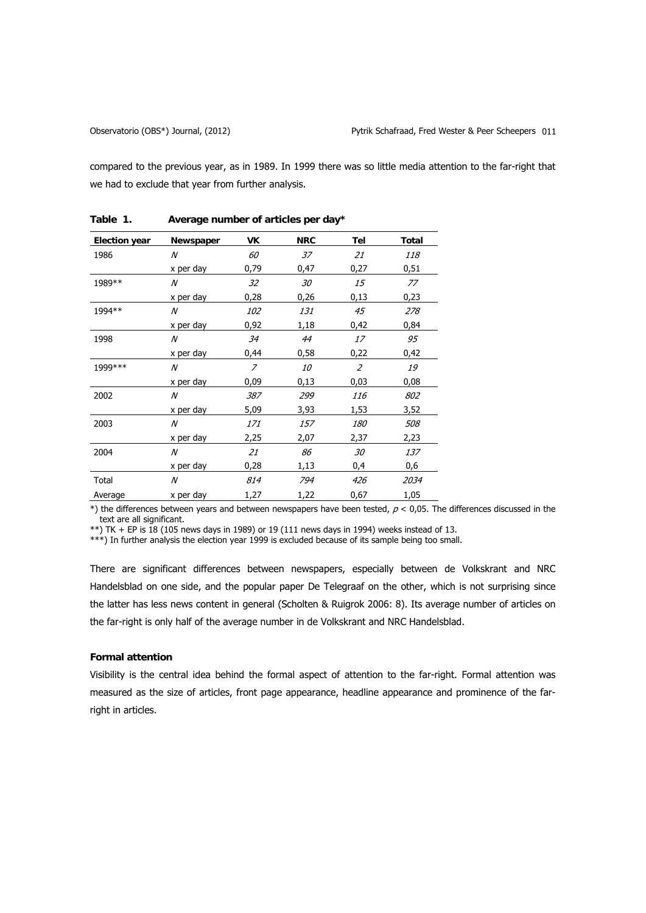compared to the previous year, as in 1989. In 1999 there was so little media attention to the far-right that we had to exclude that year from further analysis.

| Election year | Newspaper | VK             | <b>NRC</b> | Tel            | Total      |
|---------------|-----------|----------------|------------|----------------|------------|
| 1986          | N         | 60             | 37         | 21             | <i>118</i> |
|               | x per day | 0,79           | 0,47       | 0,27           | 0,51       |
| 1989**        | N         | 32             | 30         | 15             | 77         |
|               | x per day | 0,28           | 0,26       | 0,13           | 0,23       |
| 1994**        | N         | <i>102</i>     | 131        | 45             | 278        |
|               | x per day | 0,92           | 1,18       | 0,42           | 0,84       |
| 1998          | N         | 34             | 44         | 17             | 95         |
|               | x per day | 0,44           | 0,58       | 0,22           | 0,42       |
| 1999 ***      | N         | $\overline{z}$ | <i>10</i>  | $\overline{z}$ | 19         |
|               | x per day | 0,09           | 0,13       | 0,03           | 0,08       |
| 2002          | N         | 387            | 299        | 116            | 802        |
|               | x per day | 5,09           | 3,93       | 1,53           | 3,52       |
| 2003          | N         | 171            | 157        | <i>180</i>     | 508        |
|               | x per day | 2,25           | 2,07       | 2,37           | 2,23       |
| 2004          | N         | 21             | 86         | 30             | 137        |
|               | x per day | 0,28           | 1,13       | 0,4            | 0,6        |
| Total         | N         | 814            | 794        | 426            | 2034       |
| Average       | x per day | 1,27           | 1,22       | 0,67           | 1,05       |

**Table 1. Average number of articles per day\*** 

 $*$ ) the differences between years and between newspapers have been tested,  $p < 0.05$ . The differences discussed in the text are all significant.

\*\*) TK + EP is  $\overline{18}$  (105 news days in 1989) or 19 (111 news days in 1994) weeks instead of 13.

\*\*\*) In further analysis the election year 1999 is excluded because of its sample being too small.

There are significant differences between newspapers, especially between de Volkskrant and NRC Handelsblad on one side, and the popular paper De Telegraaf on the other, which is not surprising since the latter has less news content in general (Scholten & Ruigrok 2006: 8). Its average number of articles on the far-right is only half of the average number in de Volkskrant and NRC Handelsblad.

# **Formal attention**

Visibility is the central idea behind the formal aspect of attention to the far-right. Formal attention was measured as the size of articles, front page appearance, headline appearance and prominence of the farright in articles.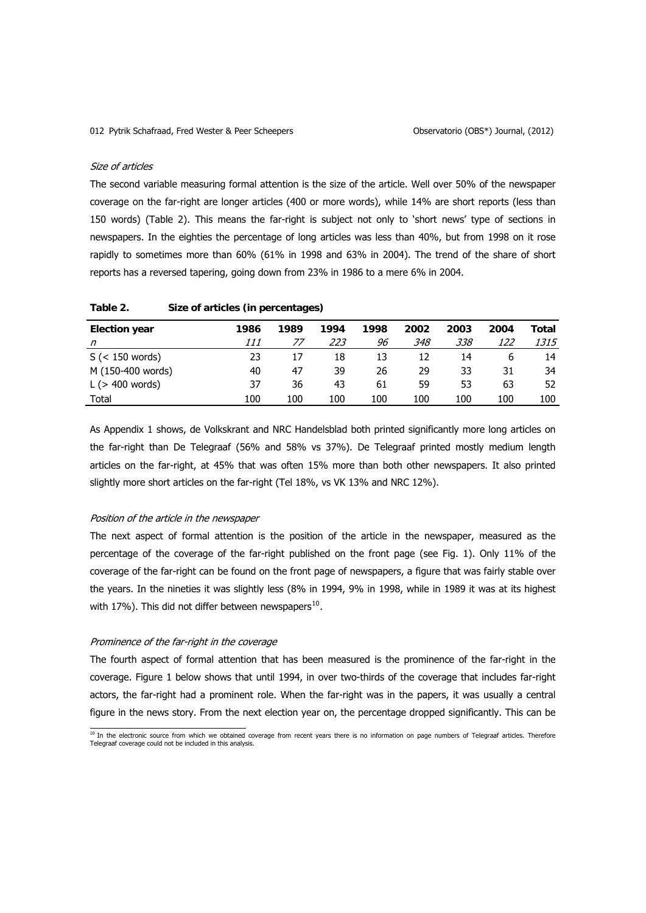#### <span id="page-11-0"></span>Size of articles

The second variable measuring formal attention is the size of the article. Well over 50% of the newspaper coverage on the far-right are longer articles (400 or more words), while 14% are short reports (less than 150 words) (Table 2). This means the far-right is subject not only to 'short news' type of sections in newspapers. In the eighties the percentage of long articles was less than 40%, but from 1998 on it rose rapidly to sometimes more than 60% (61% in 1998 and 63% in 2004). The trend of the share of short reports has a reversed tapering, going down from 23% in 1986 to a mere 6% in 2004.

| <b>Election year</b>     | 1986 | 1989 | 1994 | 1998 | 2002 | 2003 | 2004       | Total       |
|--------------------------|------|------|------|------|------|------|------------|-------------|
| n                        | 111  | 77   | 223  | 96   | 348  | 338  | <i>122</i> | <i>1315</i> |
| $S \leqslant 150$ words) | 23   | 17   | 18   | 13   | 12   | 14   | b          | 14          |
| M (150-400 words)        | 40   | 47   | 39   | 26   | 29   | 33   | 31         | 34          |
| $L$ ( $>$ 400 words)     | 37   | 36   | 43   | 61   | 59   | 53   | 63         | 52          |
| Total                    | 100  | 100  | 100  | 100  | 100  | 100  | 100        | 100         |

| Table 2. |  | Size of articles (in percentages) |
|----------|--|-----------------------------------|
|----------|--|-----------------------------------|

As Appendix 1 shows, de Volkskrant and NRC Handelsblad both printed significantly more long articles on the far-right than De Telegraaf (56% and 58% vs 37%). De Telegraaf printed mostly medium length articles on the far-right, at 45% that was often 15% more than both other newspapers. It also printed slightly more short articles on the far-right (Tel 18%, vs VK 13% and NRC 12%).

# Position of the article in the newspaper

The next aspect of formal attention is the position of the article in the newspaper, measured as the percentage of the coverage of the far-right published on the front page (see Fig. 1). Only 11% of the coverage of the far-right can be found on the front page of newspapers, a figure that was fairly stable over the years. In the nineties it was slightly less (8% in 1994, 9% in 1998, while in 1989 it was at its highest with 17%). This did not differ between newspapers $^{10}$  $^{10}$  $^{10}$ .

## Prominence of the far-right in the coverage

The fourth aspect of formal attention that has been measured is the prominence of the far-right in the coverage. Figure 1 below shows that until 1994, in over two-thirds of the coverage that includes far-right actors, the far-right had a prominent role. When the far-right was in the papers, it was usually a central figure in the news story. From the next election year on, the percentage dropped significantly. This can be

<sup>&</sup>lt;sup>10</sup> In the electronic source from which we obtained coverage from recent years there is no information on page numbers of Telegraaf articles. Therefore<br>Telegraaf coverage could not be included in this analysis.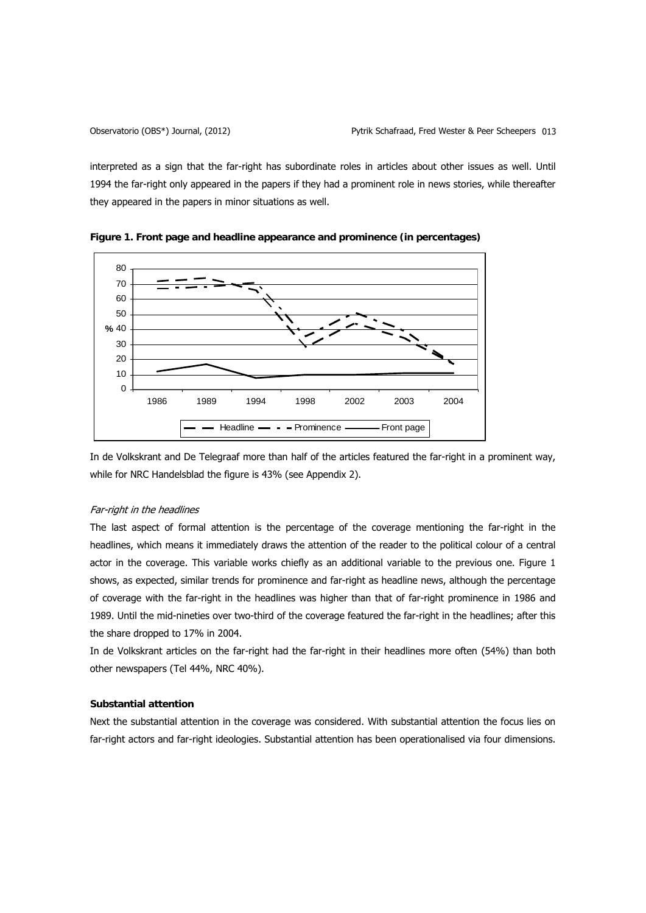interpreted as a sign that the far-right has subordinate roles in articles about other issues as well. Until 1994 the far-right only appeared in the papers if they had a prominent role in news stories, while thereafter they appeared in the papers in minor situations as well.



**Figure 1. Front page and headline appearance and prominence (in percentages)** 

In de Volkskrant and De Telegraaf more than half of the articles featured the far-right in a prominent way, while for NRC Handelsblad the figure is 43% (see Appendix 2).

# Far-right in the headlines

The last aspect of formal attention is the percentage of the coverage mentioning the far-right in the headlines, which means it immediately draws the attention of the reader to the political colour of a central actor in the coverage. This variable works chiefly as an additional variable to the previous one. Figure 1 shows, as expected, similar trends for prominence and far-right as headline news, although the percentage of coverage with the far-right in the headlines was higher than that of far-right prominence in 1986 and 1989. Until the mid-nineties over two-third of the coverage featured the far-right in the headlines; after this the share dropped to 17% in 2004.

In de Volkskrant articles on the far-right had the far-right in their headlines more often (54%) than both other newspapers (Tel 44%, NRC 40%).

# **Substantial attention**

Next the substantial attention in the coverage was considered. With substantial attention the focus lies on far-right actors and far-right ideologies. Substantial attention has been operationalised via four dimensions.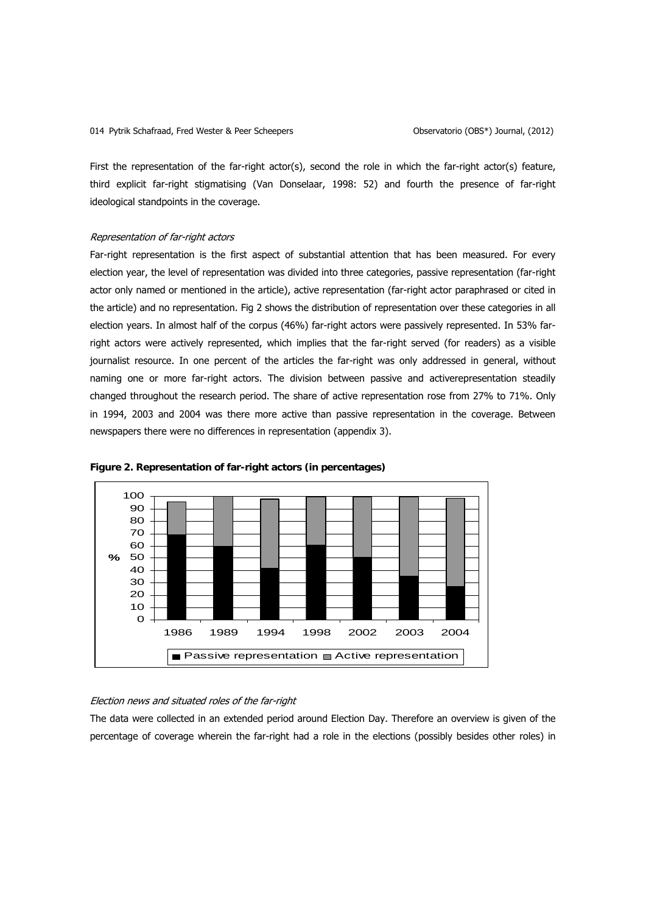First the representation of the far-right actor(s), second the role in which the far-right actor(s) feature, third explicit far-right stigmatising (Van Donselaar, 1998: 52) and fourth the presence of far-right ideological standpoints in the coverage.

# Representation of far-right actors

Far-right representation is the first aspect of substantial attention that has been measured. For every election year, the level of representation was divided into three categories, passive representation (far-right actor only named or mentioned in the article), active representation (far-right actor paraphrased or cited in the article) and no representation. Fig 2 shows the distribution of representation over these categories in all election years. In almost half of the corpus (46%) far-right actors were passively represented. In 53% farright actors were actively represented, which implies that the far-right served (for readers) as a visible journalist resource. In one percent of the articles the far-right was only addressed in general, without naming one or more far-right actors. The division between passive and activerepresentation steadily changed throughout the research period. The share of active representation rose from 27% to 71%. Only in 1994, 2003 and 2004 was there more active than passive representation in the coverage. Between newspapers there were no differences in representation (appendix 3).





## Election news and situated roles of the far-right

The data were collected in an extended period around Election Day. Therefore an overview is given of the percentage of coverage wherein the far-right had a role in the elections (possibly besides other roles) in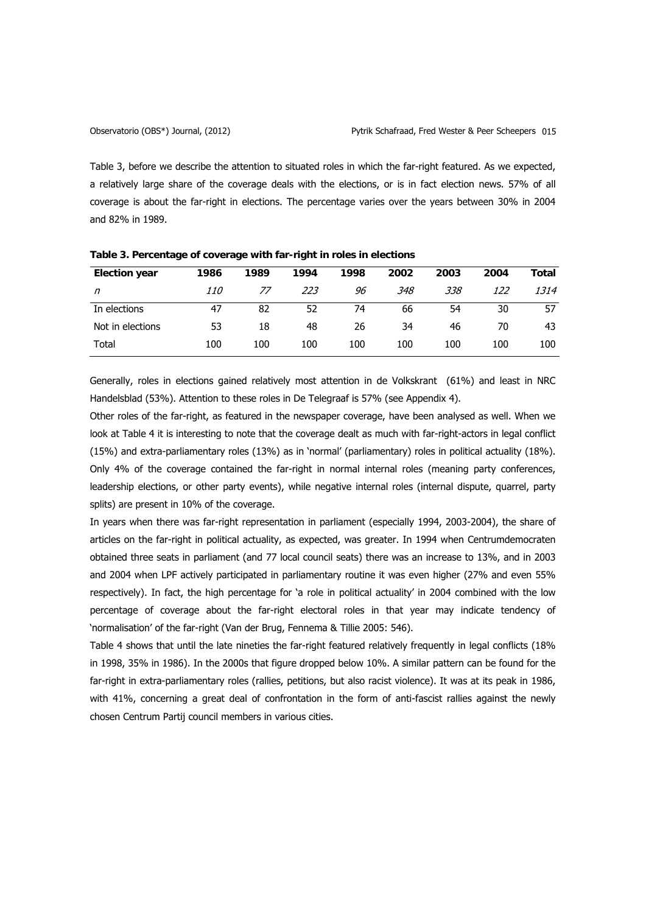Table 3, before we describe the attention to situated roles in which the far-right featured. As we expected, a relatively large share of the coverage deals with the elections, or is in fact election news. 57% of all coverage is about the far-right in elections. The percentage varies over the years between 30% in 2004 and 82% in 1989.

| <b>Election year</b> | 1986       | 1989 | 1994 | 1998 | 2002 | 2003 | 2004 | Total |
|----------------------|------------|------|------|------|------|------|------|-------|
| $\eta$               | <i>110</i> | 77   | 223  | 96   | 348  | 338  | 122  | 1314  |
| In elections         | 47         | 82   | 52   | 74   | 66   | 54   | 30   | 57    |
| Not in elections     | 53         | 18   | 48   | 26   | 34   | 46   | 70   | 43    |
| Total                | 100        | 100  | 100  | 100  | 100  | 100  | 100  | 100   |

**Table 3.Percentage of coverage with far-right in roles in elections** 

Generally, roles in elections gained relatively most attention in de Volkskrant (61%) and least in NRC Handelsblad (53%). Attention to these roles in De Telegraaf is 57% (see Appendix 4).

Other roles of the far-right, as featured in the newspaper coverage, have been analysed as well. When we look at Table 4 it is interesting to note that the coverage dealt as much with far-right-actors in legal conflict (15%) and extra-parliamentary roles (13%) as in 'normal' (parliamentary) roles in political actuality (18%). Only 4% of the coverage contained the far-right in normal internal roles (meaning party conferences, leadership elections, or other party events), while negative internal roles (internal dispute, quarrel, party splits) are present in 10% of the coverage.

In years when there was far-right representation in parliament (especially 1994, 2003-2004), the share of articles on the far-right in political actuality, as expected, was greater. In 1994 when Centrumdemocraten obtained three seats in parliament (and 77 local council seats) there was an increase to 13%, and in 2003 and 2004 when LPF actively participated in parliamentary routine it was even higher (27% and even 55% respectively). In fact, the high percentage for 'a role in political actuality' in 2004 combined with the low percentage of coverage about the far-right electoral roles in that year may indicate tendency of 'normalisation' of the far-right (Van der Brug, Fennema & Tillie 2005: 546).

Table 4 shows that until the late nineties the far-right featured relatively frequently in legal conflicts (18% in 1998, 35% in 1986). In the 2000s that figure dropped below 10%. A similar pattern can be found for the far-right in extra-parliamentary roles (rallies, petitions, but also racist violence). It was at its peak in 1986, with 41%, concerning a great deal of confrontation in the form of anti-fascist rallies against the newly chosen Centrum Partij council members in various cities.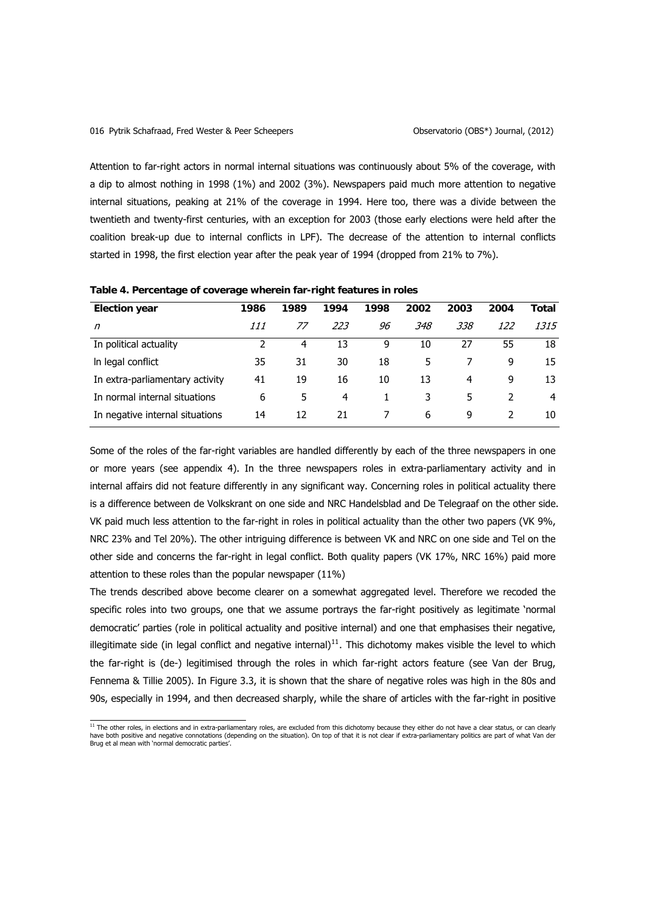<span id="page-15-0"></span>Attention to far-right actors in normal internal situations was continuously about 5% of the coverage, with a dip to almost nothing in 1998 (1%) and 2002 (3%). Newspapers paid much more attention to negative internal situations, peaking at 21% of the coverage in 1994. Here too, there was a divide between the twentieth and twenty-first centuries, with an exception for 2003 (those early elections were held after the coalition break-up due to internal conflicts in LPF). The decrease of the attention to internal conflicts started in 1998, the first election year after the peak year of 1994 (dropped from 21% to 7%).

| <b>Election year</b>            | 1986 | 1989 | 1994 | 1998 | 2002 | 2003 | 2004 | Total |
|---------------------------------|------|------|------|------|------|------|------|-------|
| n                               | 111  | 77   | 223  | 96   | 348  | 338  | 122  | 1315  |
| In political actuality          |      | 4    | 13   | 9    | 10   | 27   | 55   | 18    |
| In legal conflict               | 35   | 31   | 30   | 18   | 5    |      | 9    | 15    |
| In extra-parliamentary activity | 41   | 19   | 16   | 10   | 13   | 4    | 9    | 13    |
| In normal internal situations   | 6    | 5    | 4    |      | 3    | 5    |      | 4     |
| In negative internal situations | 14   | 12   | 21   |      | 6    | 9    |      | 10    |
|                                 |      |      |      |      |      |      |      |       |

**Table 4.Percentage of coverage wherein far-right features in roles** 

Some of the roles of the far-right variables are handled differently by each of the three newspapers in one or more years (see appendix 4). In the three newspapers roles in extra-parliamentary activity and in internal affairs did not feature differently in any significant way. Concerning roles in political actuality there is a difference between de Volkskrant on one side and NRC Handelsblad and De Telegraaf on the other side. VK paid much less attention to the far-right in roles in political actuality than the other two papers (VK 9%, NRC 23% and Tel 20%). The other intriguing difference is between VK and NRC on one side and Tel on the other side and concerns the far-right in legal conflict. Both quality papers (VK 17%, NRC 16%) paid more attention to these roles than the popular newspaper (11%)

The trends described above become clearer on a somewhat aggregated level. Therefore we recoded the specific roles into two groups, one that we assume portrays the far-right positively as legitimate 'normal democratic' parties (role in political actuality and positive internal) and one that emphasises their negative, illegitimate side (in legal conflict and negative internal) $<sup>11</sup>$  $<sup>11</sup>$  $<sup>11</sup>$ . This dichotomy makes visible the level to which</sup> the far-right is (de-) legitimised through the roles in which far-right actors feature (see Van der Brug, Fennema & Tillie 2005). In Figure 3.3, it is shown that the share of negative roles was high in the 80s and 90s, especially in 1994, and then decreased sharply, while the share of articles with the far-right in positive

 11 The other roles, in elections and in extra-parliamentary roles, are excluded from this dichotomy because they either do not have a clear status, or can clearly have both positive and negative connotations (depending on the situation). On top of that it is not clear if extra-parliamentary politics are part of what Van der Brug et al mean with 'normal democratic parties'.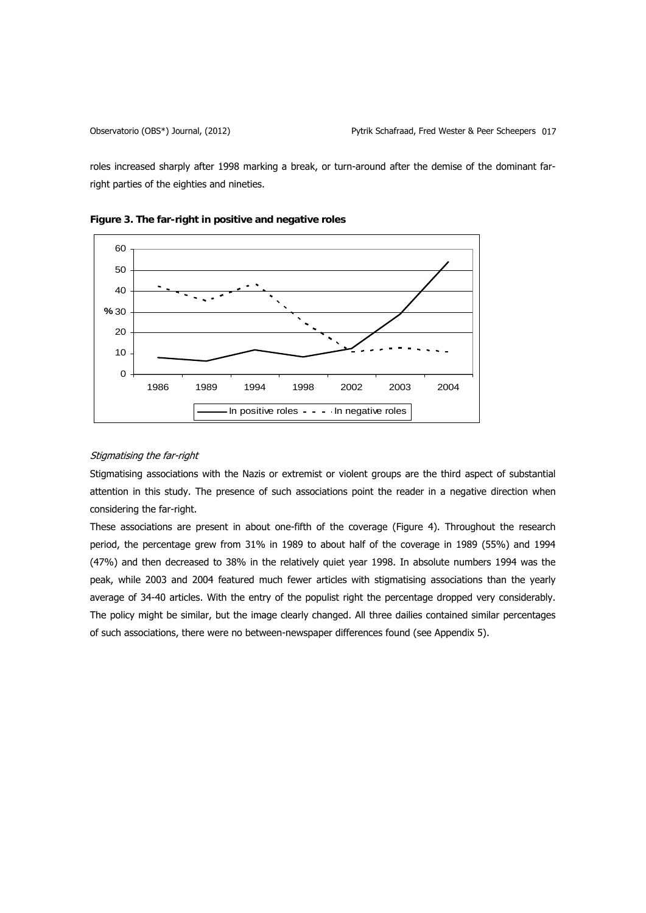roles increased sharply after 1998 marking a break, or turn-around after the demise of the dominant farright parties of the eighties and nineties.





# Stigmatising the far-right

Stigmatising associations with the Nazis or extremist or violent groups are the third aspect of substantial attention in this study. The presence of such associations point the reader in a negative direction when considering the far-right.

These associations are present in about one-fifth of the coverage (Figure 4). Throughout the research period, the percentage grew from 31% in 1989 to about half of the coverage in 1989 (55%) and 1994 (47%) and then decreased to 38% in the relatively quiet year 1998. In absolute numbers 1994 was the peak, while 2003 and 2004 featured much fewer articles with stigmatising associations than the yearly average of 34-40 articles. With the entry of the populist right the percentage dropped very considerably. The policy might be similar, but the image clearly changed. All three dailies contained similar percentages of such associations, there were no between-newspaper differences found (see Appendix 5).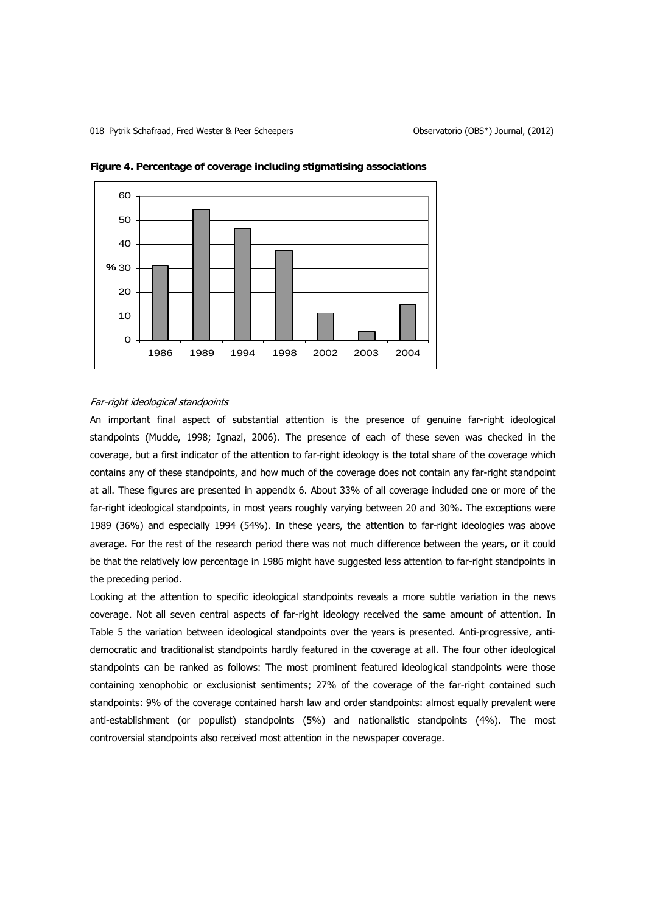

**Figure 4. Percentage of coverage including stigmatising associations** 

# Far-right ideological standpoints

An important final aspect of substantial attention is the presence of genuine far-right ideological standpoints (Mudde, 1998; Ignazi, 2006). The presence of each of these seven was checked in the coverage, but a first indicator of the attention to far-right ideology is the total share of the coverage which contains any of these standpoints, and how much of the coverage does not contain any far-right standpoint at all. These figures are presented in appendix 6. About 33% of all coverage included one or more of the far-right ideological standpoints, in most years roughly varying between 20 and 30%. The exceptions were 1989 (36%) and especially 1994 (54%). In these years, the attention to far-right ideologies was above average. For the rest of the research period there was not much difference between the years, or it could be that the relatively low percentage in 1986 might have suggested less attention to far-right standpoints in the preceding period.

Looking at the attention to specific ideological standpoints reveals a more subtle variation in the news coverage. Not all seven central aspects of far-right ideology received the same amount of attention. In Table 5 the variation between ideological standpoints over the years is presented. Anti-progressive, antidemocratic and traditionalist standpoints hardly featured in the coverage at all. The four other ideological standpoints can be ranked as follows: The most prominent featured ideological standpoints were those containing xenophobic or exclusionist sentiments; 27% of the coverage of the far-right contained such standpoints: 9% of the coverage contained harsh law and order standpoints: almost equally prevalent were anti-establishment (or populist) standpoints (5%) and nationalistic standpoints (4%). The most controversial standpoints also received most attention in the newspaper coverage.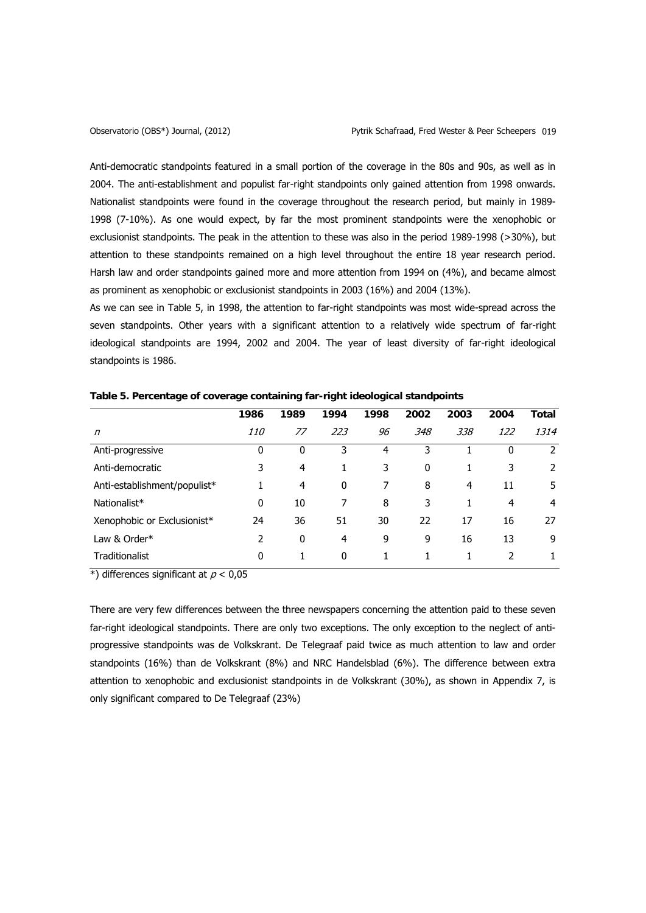Anti-democratic standpoints featured in a small portion of the coverage in the 80s and 90s, as well as in 2004. The anti-establishment and populist far-right standpoints only gained attention from 1998 onwards. Nationalist standpoints were found in the coverage throughout the research period, but mainly in 1989- 1998 (7-10%). As one would expect, by far the most prominent standpoints were the xenophobic or exclusionist standpoints. The peak in the attention to these was also in the period 1989-1998 (>30%), but attention to these standpoints remained on a high level throughout the entire 18 year research period. Harsh law and order standpoints gained more and more attention from 1994 on (4%), and became almost as prominent as xenophobic or exclusionist standpoints in 2003 (16%) and 2004 (13%).

As we can see in Table 5, in 1998, the attention to far-right standpoints was most wide-spread across the seven standpoints. Other years with a significant attention to a relatively wide spectrum of far-right ideological standpoints are 1994, 2002 and 2004. The year of least diversity of far-right ideological standpoints is 1986.

|                              | 1986       | 1989           | 1994 | 1998 | 2002         | 2003 | 2004 | Total |
|------------------------------|------------|----------------|------|------|--------------|------|------|-------|
| n                            | <i>110</i> | 77             | 223  | 96   | 348          | 338  | 122  | 1314  |
| Anti-progressive             | 0          | 0              | 3    | 4    | 3            |      | 0    | 2     |
| Anti-democratic              | 3          | 4              |      | 3    | $\mathbf{0}$ |      | 3    | 2     |
| Anti-establishment/populist* |            | $\overline{4}$ | 0    | 7    | 8            | 4    | 11   | 5     |
| Nationalist*                 | 0          | 10             | 7    | 8    | 3            |      | 4    | 4     |
| Xenophobic or Exclusionist*  | 24         | 36             | 51   | 30   | 22           | 17   | 16   | 27    |
| Law & Order*                 | 2          | 0              | 4    | 9    | 9            | 16   | 13   | 9     |
| Traditionalist               | 0          |                | 0    |      |              |      |      |       |

**Table 5.Percentage of coverage containing far-right ideological standpoints** 

\*) differences significant at  $p < 0.05$ 

There are very few differences between the three newspapers concerning the attention paid to these seven far-right ideological standpoints. There are only two exceptions. The only exception to the neglect of antiprogressive standpoints was de Volkskrant. De Telegraaf paid twice as much attention to law and order standpoints (16%) than de Volkskrant (8%) and NRC Handelsblad (6%). The difference between extra attention to xenophobic and exclusionist standpoints in de Volkskrant (30%), as shown in Appendix 7, is only significant compared to De Telegraaf (23%)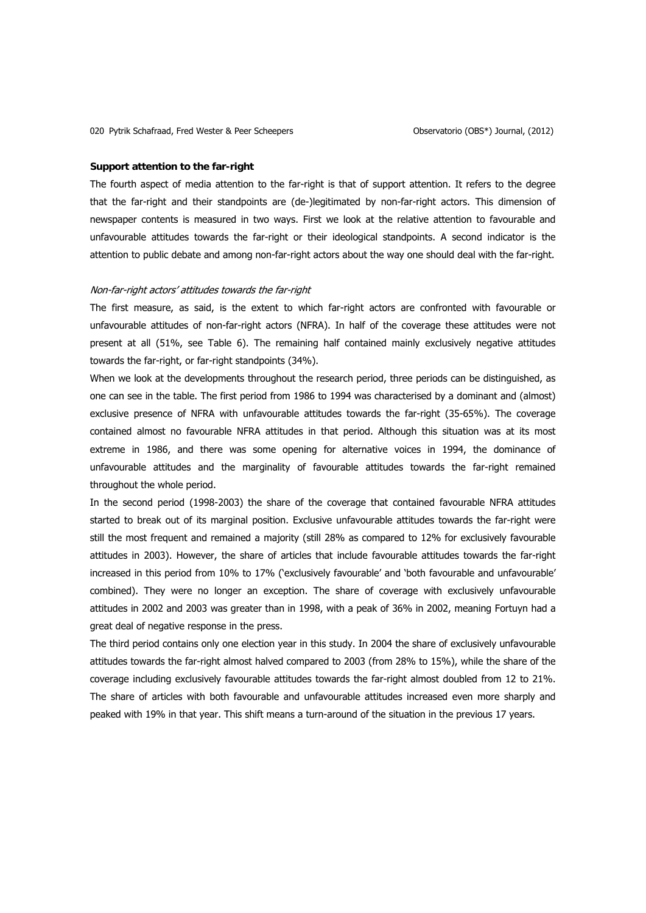#### **Support attention to the far-right**

The fourth aspect of media attention to the far-right is that of support attention. It refers to the degree that the far-right and their standpoints are (de-)legitimated by non-far-right actors. This dimension of newspaper contents is measured in two ways. First we look at the relative attention to favourable and unfavourable attitudes towards the far-right or their ideological standpoints. A second indicator is the attention to public debate and among non-far-right actors about the way one should deal with the far-right.

# Non-far-right actors' attitudes towards the far-right

The first measure, as said, is the extent to which far-right actors are confronted with favourable or unfavourable attitudes of non-far-right actors (NFRA). In half of the coverage these attitudes were not present at all (51%, see Table 6). The remaining half contained mainly exclusively negative attitudes towards the far-right, or far-right standpoints (34%).

When we look at the developments throughout the research period, three periods can be distinguished, as one can see in the table. The first period from 1986 to 1994 was characterised by a dominant and (almost) exclusive presence of NFRA with unfavourable attitudes towards the far-right (35-65%). The coverage contained almost no favourable NFRA attitudes in that period. Although this situation was at its most extreme in 1986, and there was some opening for alternative voices in 1994, the dominance of unfavourable attitudes and the marginality of favourable attitudes towards the far-right remained throughout the whole period.

In the second period (1998-2003) the share of the coverage that contained favourable NFRA attitudes started to break out of its marginal position. Exclusive unfavourable attitudes towards the far-right were still the most frequent and remained a majority (still 28% as compared to 12% for exclusively favourable attitudes in 2003). However, the share of articles that include favourable attitudes towards the far-right increased in this period from 10% to 17% ('exclusively favourable' and 'both favourable and unfavourable' combined). They were no longer an exception. The share of coverage with exclusively unfavourable attitudes in 2002 and 2003 was greater than in 1998, with a peak of 36% in 2002, meaning Fortuyn had a great deal of negative response in the press.

The third period contains only one election year in this study. In 2004 the share of exclusively unfavourable attitudes towards the far-right almost halved compared to 2003 (from 28% to 15%), while the share of the coverage including exclusively favourable attitudes towards the far-right almost doubled from 12 to 21%. The share of articles with both favourable and unfavourable attitudes increased even more sharply and peaked with 19% in that year. This shift means a turn-around of the situation in the previous 17 years.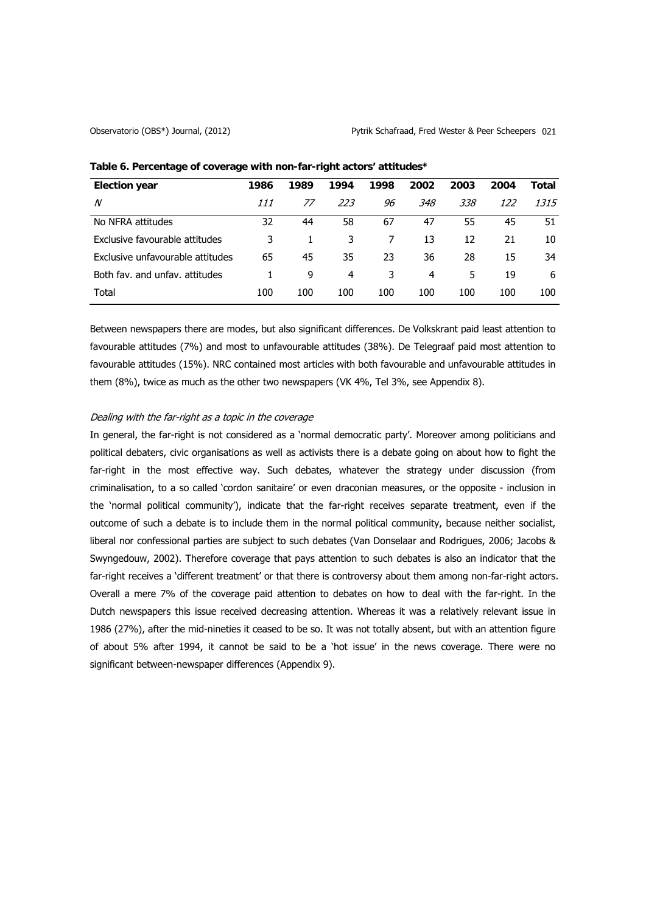| <b>Election year</b>             | 1986 | 1989 | 1994 | 1998 | 2002 | 2003 | 2004 | Total |
|----------------------------------|------|------|------|------|------|------|------|-------|
| N                                | 111  | 77   | 223  | 96   | 348  | 338  | 122  | 1315  |
| No NFRA attitudes                | 32   | 44   | 58   | 67   | 47   | 55   | 45   | 51    |
| Exclusive favourable attitudes   | 3    |      | 3    |      | 13   | 12   | 21   | 10    |
| Exclusive unfavourable attitudes | 65   | 45   | 35   | 23   | 36   | 28   | 15   | 34    |
| Both fay, and unfay, attitudes   |      | 9    | 4    | 3    | 4    | 5    | 19   | 6     |
| Total                            | 100  | 100  | 100  | 100  | 100  | 100  | 100  | 100   |

Table 6. Percentage of coverage with non-far-right actors' attitudes\*

Between newspapers there are modes, but also significant differences. De Volkskrant paid least attention to favourable attitudes (7%) and most to unfavourable attitudes (38%). De Telegraaf paid most attention to favourable attitudes (15%). NRC contained most articles with both favourable and unfavourable attitudes in them (8%), twice as much as the other two newspapers (VK 4%, Tel 3%, see Appendix 8).

# Dealing with the far-right as a topic in the coverage

In general, the far-right is not considered as a 'normal democratic party'. Moreover among politicians and political debaters, civic organisations as well as activists there is a debate going on about how to fight the far-right in the most effective way. Such debates, whatever the strategy under discussion (from criminalisation, to a so called 'cordon sanitaire' or even draconian measures, or the opposite - inclusion in the 'normal political community'), indicate that the far-right receives separate treatment, even if the outcome of such a debate is to include them in the normal political community, because neither socialist, liberal nor confessional parties are subject to such debates (Van Donselaar and Rodrigues, 2006; Jacobs & Swyngedouw, 2002). Therefore coverage that pays attention to such debates is also an indicator that the far-right receives a 'different treatment' or that there is controversy about them among non-far-right actors. Overall a mere 7% of the coverage paid attention to debates on how to deal with the far-right. In the Dutch newspapers this issue received decreasing attention. Whereas it was a relatively relevant issue in 1986 (27%), after the mid-nineties it ceased to be so. It was not totally absent, but with an attention figure of about 5% after 1994, it cannot be said to be a 'hot issue' in the news coverage. There were no significant between-newspaper differences (Appendix 9).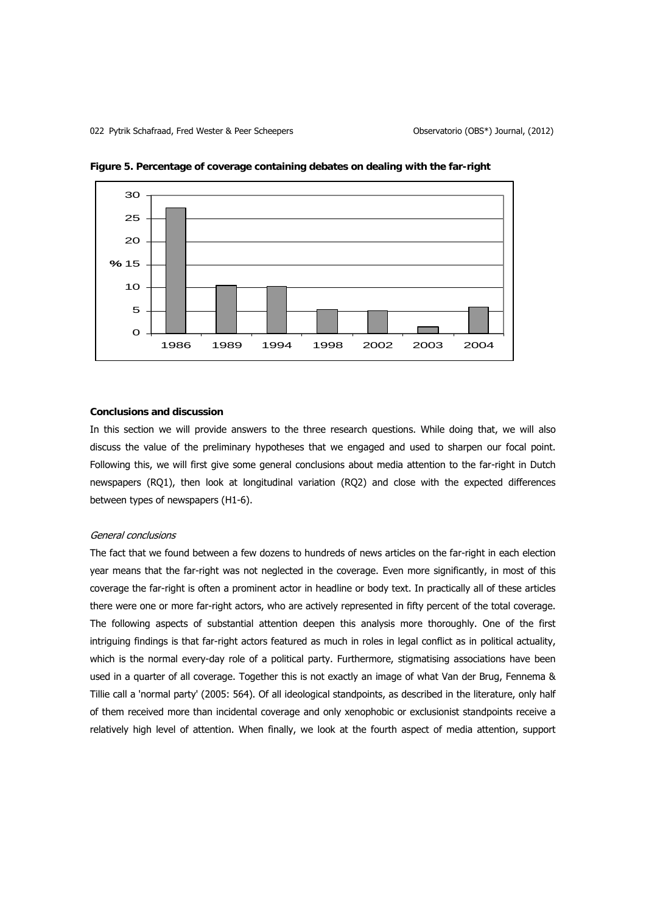



# **Conclusions and discussion**

In this section we will provide answers to the three research questions. While doing that, we will also discuss the value of the preliminary hypotheses that we engaged and used to sharpen our focal point. Following this, we will first give some general conclusions about media attention to the far-right in Dutch newspapers (RQ1), then look at longitudinal variation (RQ2) and close with the expected differences between types of newspapers (H1-6).

## General conclusions

The fact that we found between a few dozens to hundreds of news articles on the far-right in each election year means that the far-right was not neglected in the coverage. Even more significantly, in most of this coverage the far-right is often a prominent actor in headline or body text. In practically all of these articles there were one or more far-right actors, who are actively represented in fifty percent of the total coverage. The following aspects of substantial attention deepen this analysis more thoroughly. One of the first intriguing findings is that far-right actors featured as much in roles in legal conflict as in political actuality, which is the normal every-day role of a political party. Furthermore, stigmatising associations have been used in a quarter of all coverage. Together this is not exactly an image of what Van der Brug, Fennema & Tillie call a 'normal party' (2005: 564). Of all ideological standpoints, as described in the literature, only half of them received more than incidental coverage and only xenophobic or exclusionist standpoints receive a relatively high level of attention. When finally, we look at the fourth aspect of media attention, support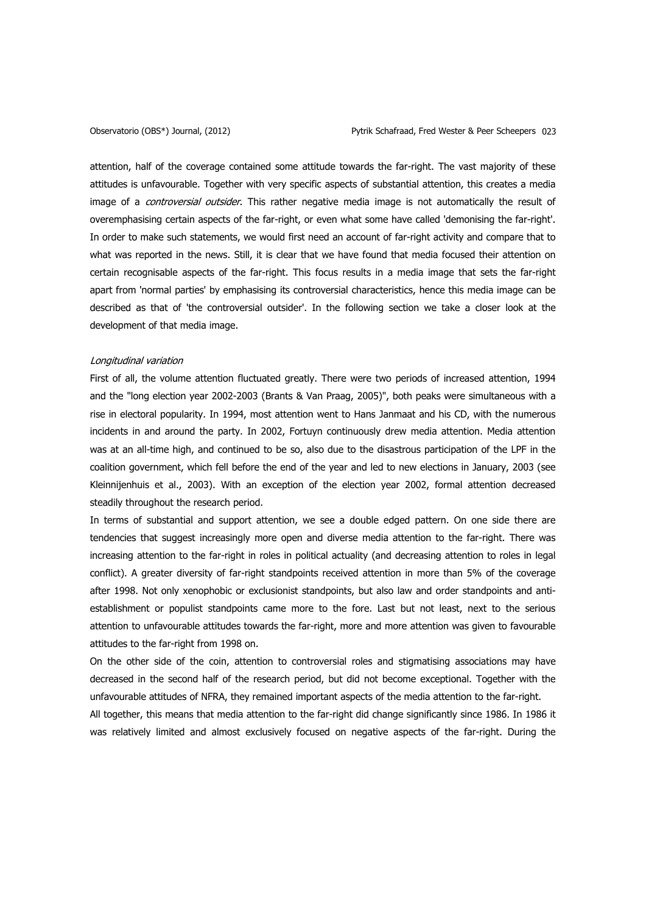attention, half of the coverage contained some attitude towards the far-right. The vast majority of these attitudes is unfavourable. Together with very specific aspects of substantial attention, this creates a media image of a *controversial outsider*. This rather negative media image is not automatically the result of overemphasising certain aspects of the far-right, or even what some have called 'demonising the far-right'. In order to make such statements, we would first need an account of far-right activity and compare that to what was reported in the news. Still, it is clear that we have found that media focused their attention on certain recognisable aspects of the far-right. This focus results in a media image that sets the far-right apart from 'normal parties' by emphasising its controversial characteristics, hence this media image can be described as that of 'the controversial outsider'. In the following section we take a closer look at the development of that media image.

### Longitudinal variation

First of all, the volume attention fluctuated greatly. There were two periods of increased attention, 1994 and the "long election year 2002-2003 (Brants & Van Praag, 2005)", both peaks were simultaneous with a rise in electoral popularity. In 1994, most attention went to Hans Janmaat and his CD, with the numerous incidents in and around the party. In 2002, Fortuyn continuously drew media attention. Media attention was at an all-time high, and continued to be so, also due to the disastrous participation of the LPF in the coalition government, which fell before the end of the year and led to new elections in January, 2003 (see Kleinnijenhuis et al., 2003). With an exception of the election year 2002, formal attention decreased steadily throughout the research period.

In terms of substantial and support attention, we see a double edged pattern. On one side there are tendencies that suggest increasingly more open and diverse media attention to the far-right. There was increasing attention to the far-right in roles in political actuality (and decreasing attention to roles in legal conflict). A greater diversity of far-right standpoints received attention in more than 5% of the coverage after 1998. Not only xenophobic or exclusionist standpoints, but also law and order standpoints and antiestablishment or populist standpoints came more to the fore. Last but not least, next to the serious attention to unfavourable attitudes towards the far-right, more and more attention was given to favourable attitudes to the far-right from 1998 on.

On the other side of the coin, attention to controversial roles and stigmatising associations may have decreased in the second half of the research period, but did not become exceptional. Together with the unfavourable attitudes of NFRA, they remained important aspects of the media attention to the far-right.

All together, this means that media attention to the far-right did change significantly since 1986. In 1986 it was relatively limited and almost exclusively focused on negative aspects of the far-right. During the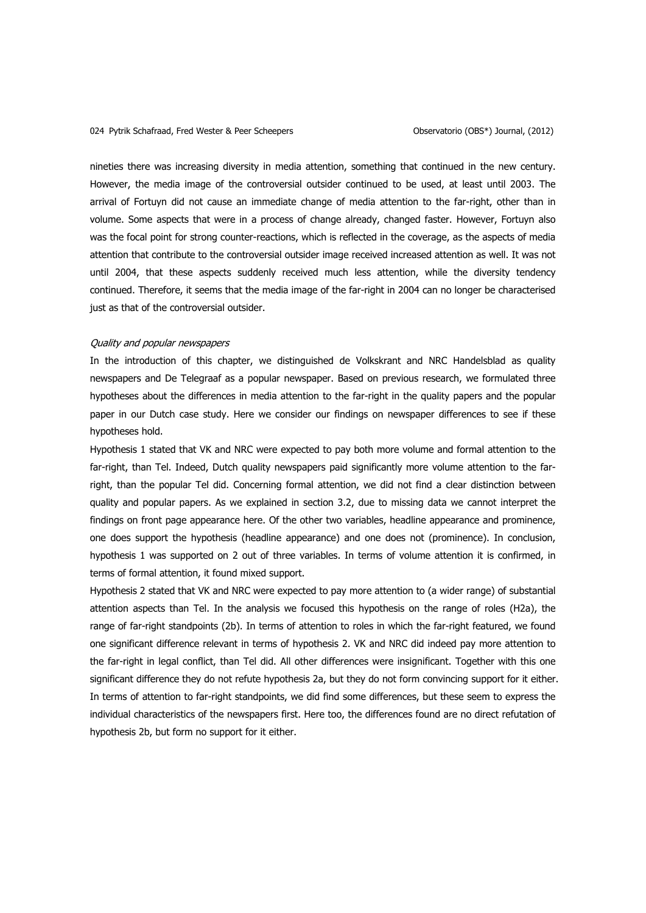nineties there was increasing diversity in media attention, something that continued in the new century. However, the media image of the controversial outsider continued to be used, at least until 2003. The arrival of Fortuyn did not cause an immediate change of media attention to the far-right, other than in volume. Some aspects that were in a process of change already, changed faster. However, Fortuyn also was the focal point for strong counter-reactions, which is reflected in the coverage, as the aspects of media attention that contribute to the controversial outsider image received increased attention as well. It was not until 2004, that these aspects suddenly received much less attention, while the diversity tendency continued. Therefore, it seems that the media image of the far-right in 2004 can no longer be characterised just as that of the controversial outsider.

## Quality and popular newspapers

In the introduction of this chapter, we distinguished de Volkskrant and NRC Handelsblad as quality newspapers and De Telegraaf as a popular newspaper. Based on previous research, we formulated three hypotheses about the differences in media attention to the far-right in the quality papers and the popular paper in our Dutch case study. Here we consider our findings on newspaper differences to see if these hypotheses hold.

Hypothesis 1 stated that VK and NRC were expected to pay both more volume and formal attention to the far-right, than Tel. Indeed, Dutch quality newspapers paid significantly more volume attention to the farright, than the popular Tel did. Concerning formal attention, we did not find a clear distinction between quality and popular papers. As we explained in section 3.2, due to missing data we cannot interpret the findings on front page appearance here. Of the other two variables, headline appearance and prominence, one does support the hypothesis (headline appearance) and one does not (prominence). In conclusion, hypothesis 1 was supported on 2 out of three variables. In terms of volume attention it is confirmed, in terms of formal attention, it found mixed support.

Hypothesis 2 stated that VK and NRC were expected to pay more attention to (a wider range) of substantial attention aspects than Tel. In the analysis we focused this hypothesis on the range of roles (H2a), the range of far-right standpoints (2b). In terms of attention to roles in which the far-right featured, we found one significant difference relevant in terms of hypothesis 2. VK and NRC did indeed pay more attention to the far-right in legal conflict, than Tel did. All other differences were insignificant. Together with this one significant difference they do not refute hypothesis 2a, but they do not form convincing support for it either. In terms of attention to far-right standpoints, we did find some differences, but these seem to express the individual characteristics of the newspapers first. Here too, the differences found are no direct refutation of hypothesis 2b, but form no support for it either.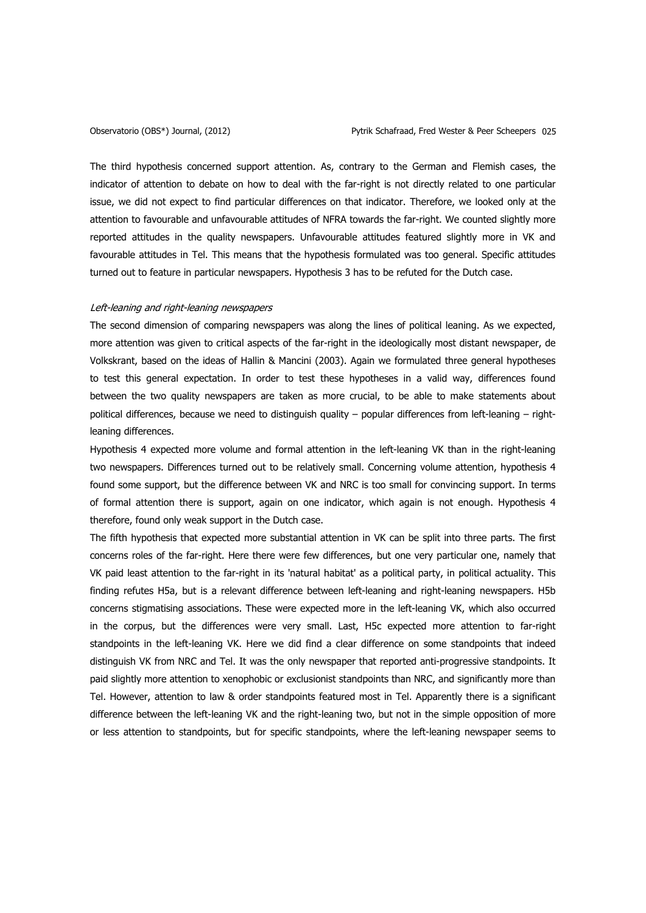The third hypothesis concerned support attention. As, contrary to the German and Flemish cases, the indicator of attention to debate on how to deal with the far-right is not directly related to one particular issue, we did not expect to find particular differences on that indicator. Therefore, we looked only at the attention to favourable and unfavourable attitudes of NFRA towards the far-right. We counted slightly more reported attitudes in the quality newspapers. Unfavourable attitudes featured slightly more in VK and favourable attitudes in Tel. This means that the hypothesis formulated was too general. Specific attitudes turned out to feature in particular newspapers. Hypothesis 3 has to be refuted for the Dutch case.

# Left-leaning and right-leaning newspapers

The second dimension of comparing newspapers was along the lines of political leaning. As we expected, more attention was given to critical aspects of the far-right in the ideologically most distant newspaper, de Volkskrant, based on the ideas of Hallin & Mancini (2003). Again we formulated three general hypotheses to test this general expectation. In order to test these hypotheses in a valid way, differences found between the two quality newspapers are taken as more crucial, to be able to make statements about political differences, because we need to distinguish quality – popular differences from left-leaning – rightleaning differences.

Hypothesis 4 expected more volume and formal attention in the left-leaning VK than in the right-leaning two newspapers. Differences turned out to be relatively small. Concerning volume attention, hypothesis 4 found some support, but the difference between VK and NRC is too small for convincing support. In terms of formal attention there is support, again on one indicator, which again is not enough. Hypothesis 4 therefore, found only weak support in the Dutch case.

The fifth hypothesis that expected more substantial attention in VK can be split into three parts. The first concerns roles of the far-right. Here there were few differences, but one very particular one, namely that VK paid least attention to the far-right in its 'natural habitat' as a political party, in political actuality. This finding refutes H5a, but is a relevant difference between left-leaning and right-leaning newspapers. H5b concerns stigmatising associations. These were expected more in the left-leaning VK, which also occurred in the corpus, but the differences were very small. Last, H5c expected more attention to far-right standpoints in the left-leaning VK. Here we did find a clear difference on some standpoints that indeed distinguish VK from NRC and Tel. It was the only newspaper that reported anti-progressive standpoints. It paid slightly more attention to xenophobic or exclusionist standpoints than NRC, and significantly more than Tel. However, attention to law & order standpoints featured most in Tel. Apparently there is a significant difference between the left-leaning VK and the right-leaning two, but not in the simple opposition of more or less attention to standpoints, but for specific standpoints, where the left-leaning newspaper seems to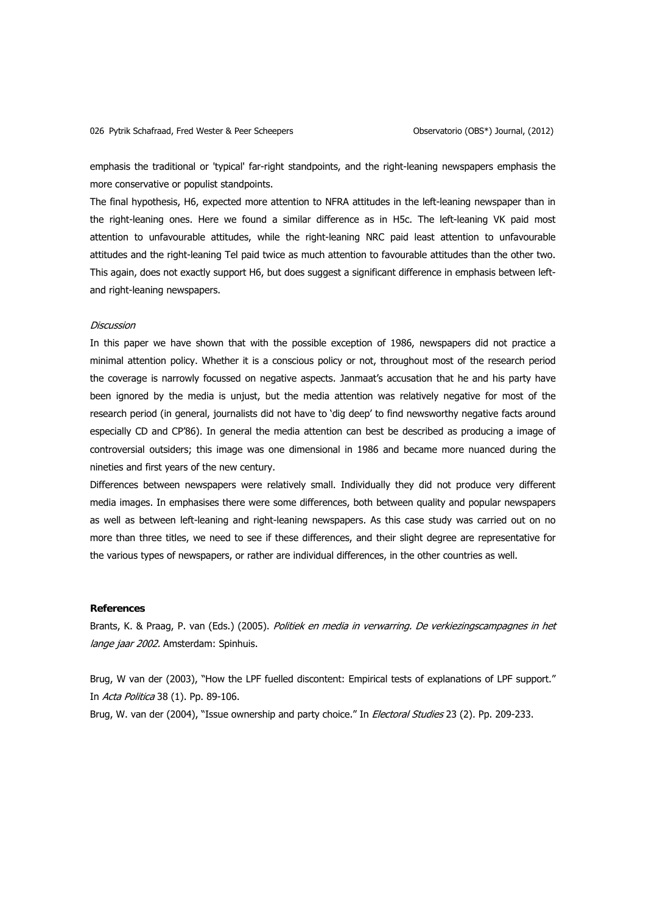emphasis the traditional or 'typical' far-right standpoints, and the right-leaning newspapers emphasis the more conservative or populist standpoints.

The final hypothesis, H6, expected more attention to NFRA attitudes in the left-leaning newspaper than in the right-leaning ones. Here we found a similar difference as in H5c. The left-leaning VK paid most attention to unfavourable attitudes, while the right-leaning NRC paid least attention to unfavourable attitudes and the right-leaning Tel paid twice as much attention to favourable attitudes than the other two. This again, does not exactly support H6, but does suggest a significant difference in emphasis between leftand right-leaning newspapers.

# **Discussion**

In this paper we have shown that with the possible exception of 1986, newspapers did not practice a minimal attention policy. Whether it is a conscious policy or not, throughout most of the research period the coverage is narrowly focussed on negative aspects. Janmaat's accusation that he and his party have been ignored by the media is unjust, but the media attention was relatively negative for most of the research period (in general, journalists did not have to 'dig deep' to find newsworthy negative facts around especially CD and CP'86). In general the media attention can best be described as producing a image of controversial outsiders; this image was one dimensional in 1986 and became more nuanced during the nineties and first years of the new century.

Differences between newspapers were relatively small. Individually they did not produce very different media images. In emphasises there were some differences, both between quality and popular newspapers as well as between left-leaning and right-leaning newspapers. As this case study was carried out on no more than three titles, we need to see if these differences, and their slight degree are representative for the various types of newspapers, or rather are individual differences, in the other countries as well.

# **References**

Brants, K. & Praag, P. van (Eds.) (2005). Politiek en media in verwarring. De verkiezingscampagnes in het lange jaar 2002. Amsterdam: Spinhuis.

Brug, W van der (2003), "How the LPF fuelled discontent: Empirical tests of explanations of LPF support." In Acta Politica 38 (1). Pp. 89-106.

Brug, W. van der (2004), "Issue ownership and party choice." In *Electoral Studies* 23 (2). Pp. 209-233.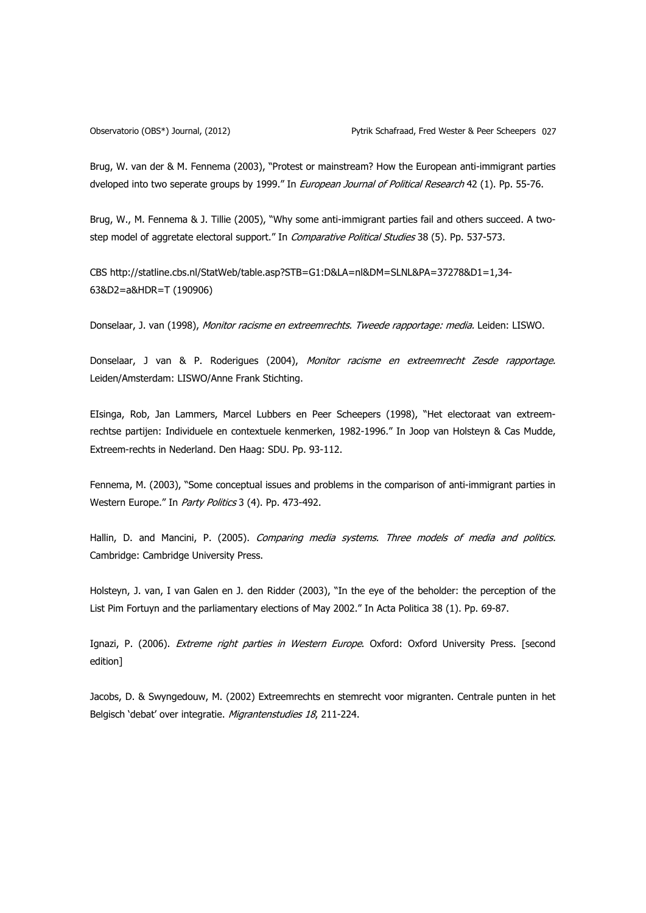Brug, W. van der & M. Fennema (2003), "Protest or mainstream? How the European anti-immigrant parties dveloped into two seperate groups by 1999." In European Journal of Political Research 42 (1). Pp. 55-76.

Brug, W., M. Fennema & J. Tillie (2005), "Why some anti-immigrant parties fail and others succeed. A twostep model of aggretate electoral support." In *Comparative Political Studies* 38 (5). Pp. 537-573.

CBS http://statline.cbs.nl/StatWeb/table.asp?STB=G1:D&LA=nl&DM=SLNL&PA=37278&D1=1,34- 63&D2=a&HDR=T (190906)

Donselaar, J. van (1998), Monitor racisme en extreemrechts. Tweede rapportage: media. Leiden: LISWO.

Donselaar, J van & P. Roderigues (2004), Monitor racisme en extreemrecht Zesde rapportage. Leiden/Amsterdam: LISWO/Anne Frank Stichting.

EIsinga, Rob, Jan Lammers, Marcel Lubbers en Peer Scheepers (1998), "Het electoraat van extreemrechtse partijen: Individuele en contextuele kenmerken, 1982-1996." In Joop van Holsteyn & Cas Mudde, Extreem-rechts in Nederland. Den Haag: SDU. Pp. 93-112.

Fennema, M. (2003), "Some conceptual issues and problems in the comparison of anti-immigrant parties in Western Europe." In Party Politics 3 (4). Pp. 473-492.

Hallin, D. and Mancini, P. (2005). Comparing media systems. Three models of media and politics. Cambridge: Cambridge University Press.

Holsteyn, J. van, I van Galen en J. den Ridder (2003), "In the eye of the beholder: the perception of the List Pim Fortuyn and the parliamentary elections of May 2002." In Acta Politica 38 (1). Pp. 69-87.

Ignazi, P. (2006). Extreme right parties in Western Europe. Oxford: Oxford University Press. [second edition]

Jacobs, D. & Swyngedouw, M. (2002) Extreemrechts en stemrecht voor migranten. Centrale punten in het Belgisch 'debat' over integratie. Migrantenstudies 18, 211-224.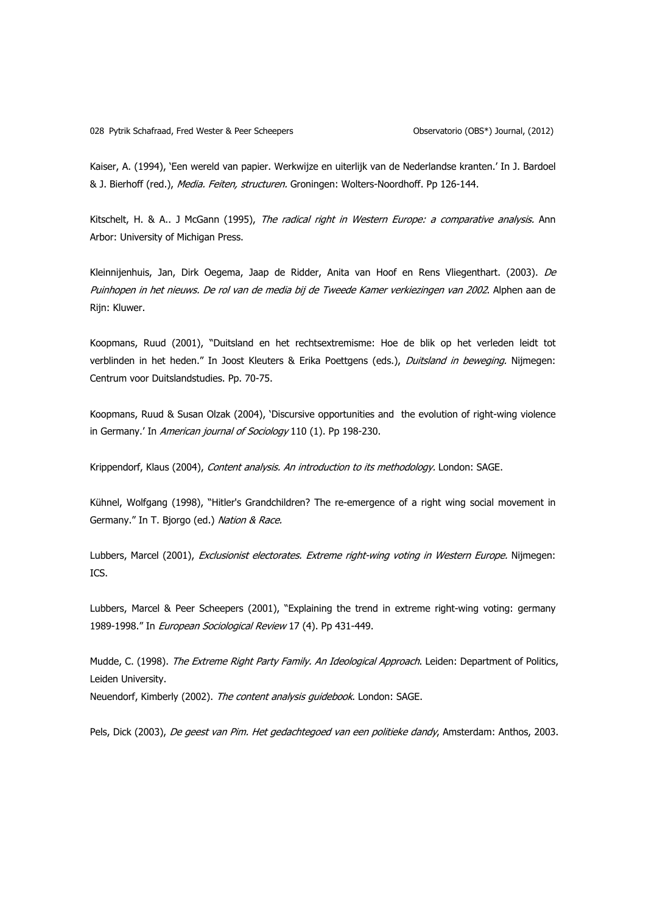Kaiser, A. (1994), 'Een wereld van papier. Werkwijze en uiterlijk van de Nederlandse kranten.' In J. Bardoel & J. Bierhoff (red.), Media. Feiten, structuren. Groningen: Wolters-Noordhoff. Pp 126-144.

Kitschelt, H. & A.. J McGann (1995), The radical right in Western Europe: a comparative analysis. Ann Arbor: University of Michigan Press.

Kleinnijenhuis, Jan, Dirk Oegema, Jaap de Ridder, Anita van Hoof en Rens Vliegenthart. (2003). De Puinhopen in het nieuws. De rol van de media bij de Tweede Kamer verkiezingen van 2002. Alphen aan de Rijn: Kluwer.

Koopmans, Ruud (2001), "Duitsland en het rechtsextremisme: Hoe de blik op het verleden leidt tot verblinden in het heden." In Joost Kleuters & Erika Poettgens (eds.), Duitsland in beweging. Nijmegen: Centrum voor Duitslandstudies. Pp. 70-75.

Koopmans, Ruud & Susan Olzak (2004), 'Discursive opportunities and the evolution of right-wing violence in Germany.' In American journal of Sociology 110 (1). Pp 198-230.

Krippendorf, Klaus (2004), Content analysis. An introduction to its methodology. London: SAGE.

Kühnel, Wolfgang (1998), "Hitler's Grandchildren? The re-emergence of a right wing social movement in Germany." In T. Bjorgo (ed.) Nation & Race.

Lubbers, Marcel (2001), Exclusionist electorates. Extreme right-wing voting in Western Europe. Nijmegen: ICS.

Lubbers, Marcel & Peer Scheepers (2001), "Explaining the trend in extreme right-wing voting: germany 1989-1998." In European Sociological Review 17 (4). Pp 431-449.

Mudde, C. (1998). The Extreme Right Party Family. An Ideological Approach. Leiden: Department of Politics, Leiden University.

Neuendorf, Kimberly (2002). The content analysis quidebook. London: SAGE.

Pels, Dick (2003), De geest van Pim. Het gedachtegoed van een politieke dandy, Amsterdam: Anthos, 2003.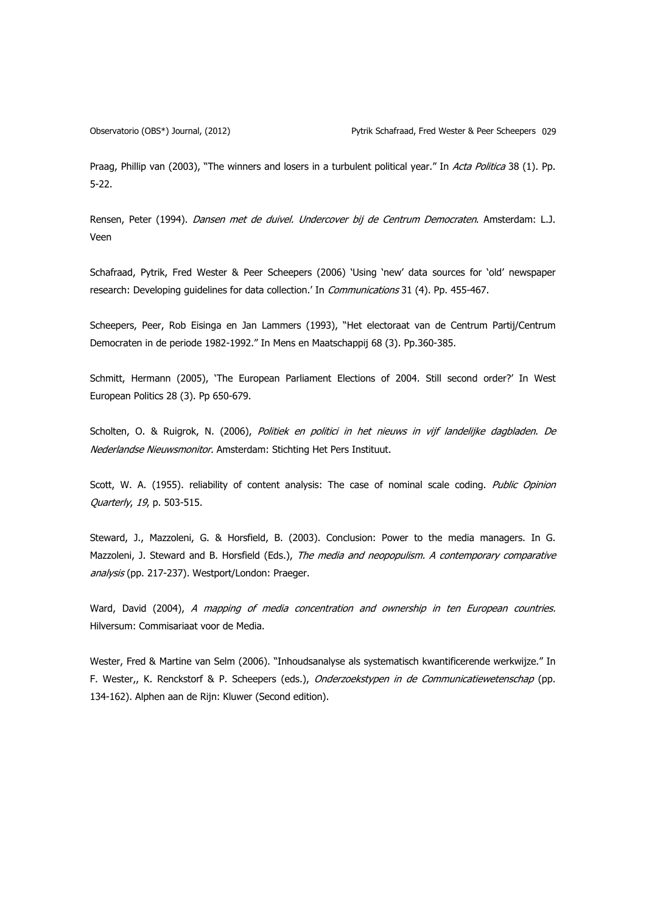Praag, Phillip van (2003), "The winners and losers in a turbulent political year." In Acta Politica 38 (1). Pp. 5-22.

Rensen, Peter (1994). Dansen met de duivel. Undercover bij de Centrum Democraten. Amsterdam: L.J. Veen

Schafraad, Pytrik, Fred Wester & Peer Scheepers (2006) 'Using 'new' data sources for 'old' newspaper research: Developing guidelines for data collection.' In *Communications* 31 (4). Pp. 455-467.

Scheepers, Peer, Rob Eisinga en Jan Lammers (1993), "Het electoraat van de Centrum Partij/Centrum Democraten in de periode 1982-1992." In Mens en Maatschappij 68 (3). Pp.360-385.

Schmitt, Hermann (2005), 'The European Parliament Elections of 2004. Still second order?' In West European Politics 28 (3). Pp 650-679.

Scholten, O. & Ruigrok, N. (2006), Politiek en politici in het nieuws in vijf landelijke dagbladen. De Nederlandse Nieuwsmonitor. Amsterdam: Stichting Het Pers Instituut.

Scott, W. A. (1955). reliability of content analysis: The case of nominal scale coding. Public Opinion Quarterly, 19, p. 503-515.

Steward, J., Mazzoleni, G. & Horsfield, B. (2003). Conclusion: Power to the media managers. In G. Mazzoleni, J. Steward and B. Horsfield (Eds.), The media and neopopulism. A contemporary comparative analysis (pp. 217-237). Westport/London: Praeger.

Ward, David (2004), A mapping of media concentration and ownership in ten European countries. Hilversum: Commisariaat voor de Media.

Wester, Fred & Martine van Selm (2006). "Inhoudsanalyse als systematisch kwantificerende werkwijze." In F. Wester,, K. Renckstorf & P. Scheepers (eds.), Onderzoekstypen in de Communicatiewetenschap (pp. 134-162). Alphen aan de Rijn: Kluwer (Second edition).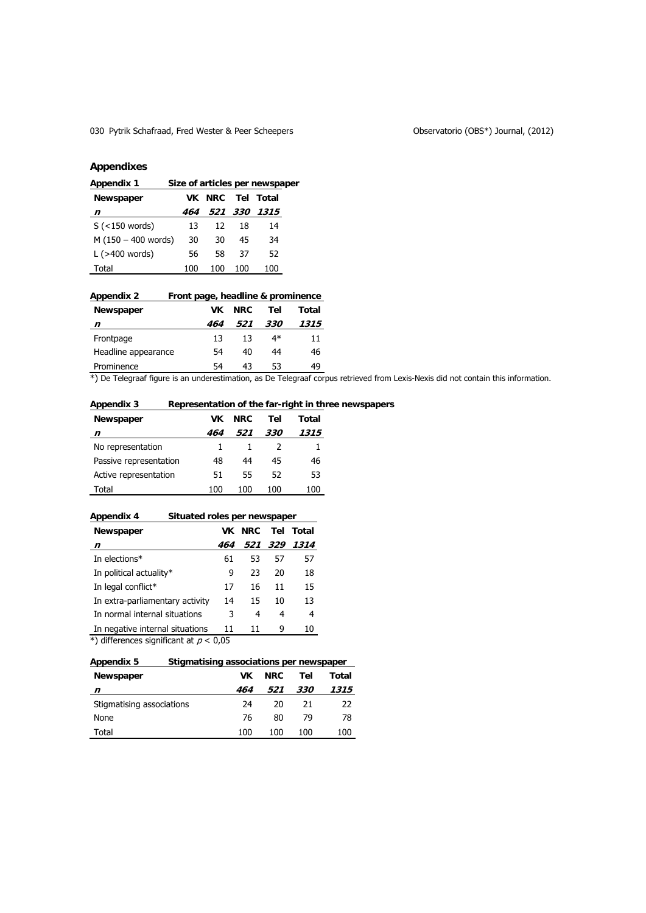# 030 Pytrik Schafraad, Fred Wester & Peer Scheepers **Canadian Schemers Conservatorio (OBS\*)** Journal, (2012)

# **Appendixes**

| Size of articles per newspaper<br><b>Appendix 1</b> |     |            |     |              |  |
|-----------------------------------------------------|-----|------------|-----|--------------|--|
| Newspaper                                           | VK. | <b>NRC</b> |     | Tel Total    |  |
| n                                                   | 464 |            |     | 521 330 1315 |  |
| $S$ (<150 words)                                    | 13  | 12         | 18  | 14           |  |
| $M(150 - 400$ words)                                | 30  | 30         | 45  | 34           |  |
| L $($ >400 words)                                   | 56  | 58         | 37  | 52           |  |
| Total                                               | 100 | 100        | 100 | 100          |  |

| Appendix 2          | Front page, headline & prominence |      |            |       |  |  |  |  |
|---------------------|-----------------------------------|------|------------|-------|--|--|--|--|
| Newspaper           | VK                                | NRC. | Tel        | Total |  |  |  |  |
| n                   | 464                               | 521  | <i>330</i> | 1315  |  |  |  |  |
| Frontpage           | 13                                | 13   | $4*$       | 11    |  |  |  |  |
| Headline appearance | 54                                | 40   | 44         | 46    |  |  |  |  |
| Prominence          | 54                                | 43   | 53         | 49    |  |  |  |  |

\*) De Telegraaf figure is an underestimation, as De Telegraaf corpus retrieved from Lexis-Nexis did not contain this information.

# **Appendix 3 Representation of the far-right in three newspapers**

| Newspaper              | VK  | NRC. | Tel        | Total |
|------------------------|-----|------|------------|-------|
| n                      | 464 | 521  | <i>330</i> | 1315  |
| No representation      |     |      |            |       |
| Passive representation | 48  | 44   | 45         | 46    |
| Active representation  | 51  | 55   | 52         | 53    |
| Total                  | 100 | 100  | 100        | 100   |

| Appendix 4                      | Situated roles per newspaper |            |     |       |  |  |  |
|---------------------------------|------------------------------|------------|-----|-------|--|--|--|
| Newspaper                       | VK                           | <b>NRC</b> | Tel | Total |  |  |  |
| n                               | 464                          | 521        | 329 | 1314  |  |  |  |
| In elections*                   | 61                           | 53         | 57  | 57    |  |  |  |
| In political actuality*         | 9                            | 23         | 20  | 18    |  |  |  |
| In legal conflict*              | 17                           | 16         | 11  | 15    |  |  |  |
| In extra-parliamentary activity | 14                           | 15         | 10  | 13    |  |  |  |
| In normal internal situations   | 3                            | 4          | 4   | 4     |  |  |  |
| In negative internal situations | 11                           | 11         | 9   | 10    |  |  |  |

\*) differences significant at  $p < 0.05$ 

# **Appendix 5 Stigmatising associations per newspaper**

| <b>Newspaper</b>          | VΚ  | NRC. | Tel        | Total |
|---------------------------|-----|------|------------|-------|
| n                         | 464 | 521  | <i>330</i> | 1315  |
| Stigmatising associations | 24  | 20   | 21         | 22    |
| None                      | 76  | 80   | 79         | 78    |
| Total                     | 100 | 100  | 100        | 100   |